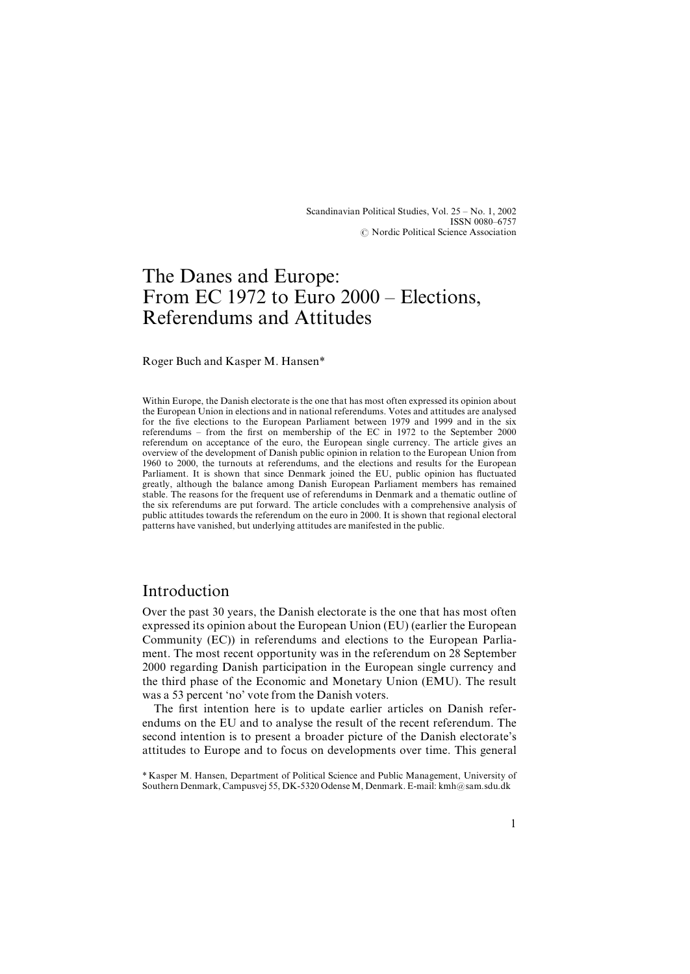Scandinavian Political Studies, Vol.  $25 - No. 1, 2002$ ISSN 0080^6757  $\circledR$  Nordic Political Science Association

# The Danes and Europe: From EC 1972 to Euro  $2000$  – Elections, Referendums and Attitudes

Roger Buch and Kasper M. Hansen\*

Within Europe, the Danish electorate is the one that has most often expressed its opinion about the European Union in elections and in national referendums. Votes and attitudes are analysed for the five elections to the European Parliament between 1979 and 1999 and in the six referendums - from the first on membership of the EC in 1972 to the September 2000 referendum on acceptance of the euro, the European single currency. The article gives an overview of the development of Danish public opinion in relation to the European Union from 1960 to 2000, the turnouts at referendums, and the elections and results for the European Parliament. It is shown that since Denmark joined the EU, public opinion has fluctuated greatly, although the balance among Danish European Parliament members has remained stable. The reasons for the frequent use of referendums in Denmark and a thematic outline of the six referendums are put forward. The article concludes with a comprehensive analysis of public attitudes towards the referendum on the euro in 2000. It is shown that regional electoral patterns have vanished, but underlying attitudes are manifested in the public.

### Introduction

Over the past 30 years, the Danish electorate is the one that has most often expressed its opinion about the European Union (EU) (earlier the European Community (EC)) in referendums and elections to the European Parliament. The most recent opportunity was in the referendum on 28 September 2000 regarding Danish participation in the European single currency and the third phase of the Economic and Monetary Union (EMU). The result was a 53 percent 'no' vote from the Danish voters.

The first intention here is to update earlier articles on Danish referendums on the EU and to analyse the result of the recent referendum. The second intention is to present a broader picture of the Danish electorate's attitudes to Europe and to focus on developments over time. This general

<sup>\*</sup> Kasper M. Hansen, Department of Political Science and Public Management, University of Southern Denmark, Campusvej 55, DK-5320 Odense M, Denmark. E-mail: kmh@sam.sdu.dk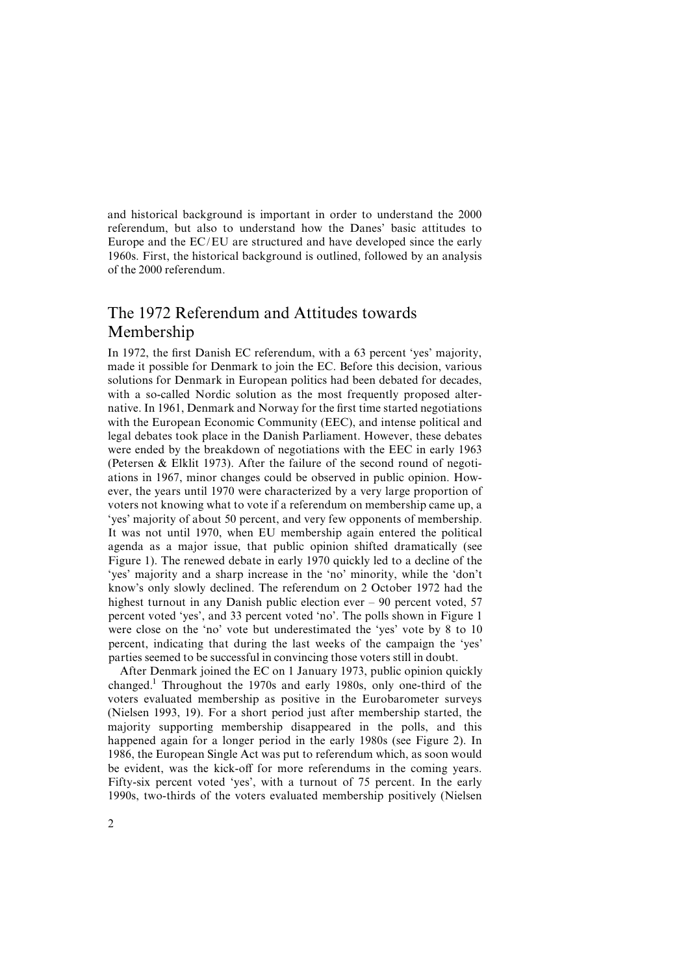and historical background is important in order to understand the 2000 referendum, but also to understand how the Danes' basic attitudes to Europe and the EC/EU are structured and have developed since the early 1960s. First, the historical background is outlined, followed by an analysis of the 2000 referendum.

## The 1972 Referendum and Attitudes towards Membership

In 1972, the first Danish EC referendum, with a 63 percent 'yes' majority, made it possible for Denmark to join the EC. Before this decision, various solutions for Denmark in European politics had been debated for decades, with a so-called Nordic solution as the most frequently proposed alternative. In 1961, Denmark and Norway for the first time started negotiations with the European Economic Community (EEC), and intense political and legal debates took place in the Danish Parliament. However, these debates were ended by the breakdown of negotiations with the EEC in early 1963 (Petersen & Elklit 1973). After the failure of the second round of negotiations in 1967, minor changes could be observed in public opinion. However, the years until 1970 were characterized by a very large proportion of voters not knowing what to vote if a referendum on membership came up, a `yes' majority of about 50 percent, and very few opponents of membership. It was not until 1970, when EU membership again entered the political agenda as a major issue, that public opinion shifted dramatically (see Figure 1). The renewed debate in early 1970 quickly led to a decline of the `yes' majority and a sharp increase in the `no' minority, while the `don't know's only slowly declined. The referendum on 2 October 1972 had the highest turnout in any Danish public election ever  $- 90$  percent voted, 57 percent voted `yes', and 33 percent voted `no'. The polls shown in Figure 1 were close on the 'no' vote but underestimated the 'yes' vote by 8 to 10 percent, indicating that during the last weeks of the campaign the `yes' parties seemed to be successful in convincing those voters still in doubt.

After Denmark joined the EC on 1 January 1973, public opinion quickly changed. <sup>1</sup> Throughout the 1970s and early 1980s, only one-third of the voters evaluated membership as positive in the Eurobarometer surveys (Nielsen 1993, 19). For a short period just after membership started, the majority supporting membership disappeared in the polls, and this happened again for a longer period in the early 1980s (see Figure 2). In 1986, the European Single Act was put to referendum which, as soon would be evident, was the kick-off for more referendums in the coming years. Fifty-six percent voted 'yes', with a turnout of 75 percent. In the early 1990s, two-thirds of the voters evaluated membership positively (Nielsen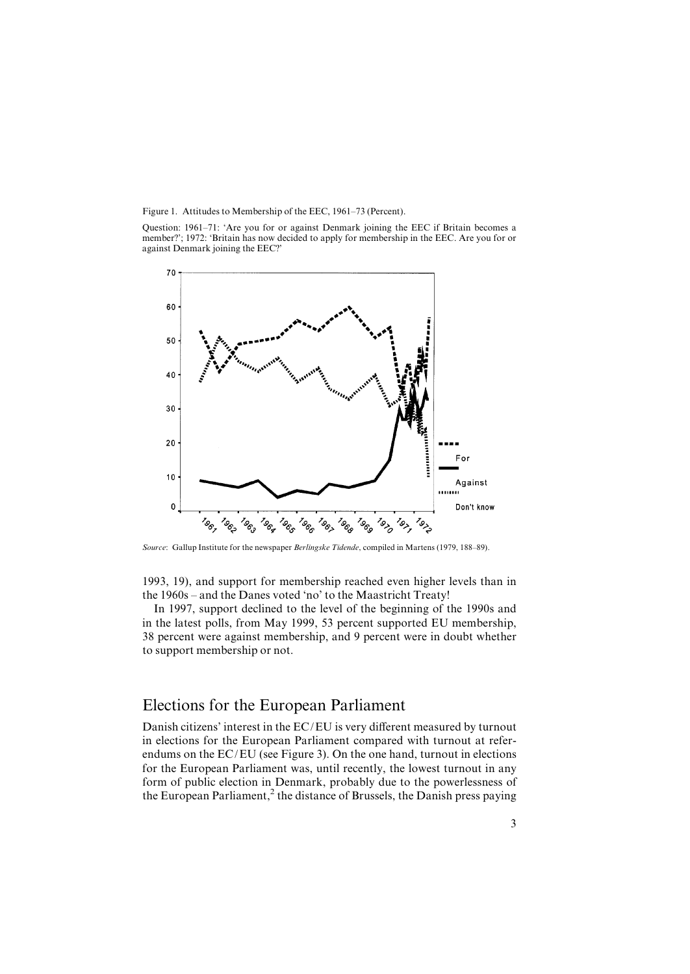#### Figure 1. Attitudes to Membership of the EEC, 1961–73 (Percent).

Question:  $1961-71$ : 'Are you for or against Denmark joining the EEC if Britain becomes a member?'; 1972: `Britain has now decided to apply for membership in the EEC. Are you for or against Denmark joining the EEC?'



Source: Gallup Institute for the newspaper Berlingske Tidende, compiled in Martens (1979, 188-89).

1993, 19), and support for membership reached even higher levels than in the 1960s - and the Danes voted 'no' to the Maastricht Treaty!

In 1997, support declined to the level of the beginning of the 1990s and in the latest polls, from May 1999, 53 percent supported EU membership, 38 percent were against membership, and 9 percent were in doubt whether to support membership or not.

### Elections for the European Parliament

Danish citizens' interest in the EC/EU is very different measured by turnout in elections for the European Parliament compared with turnout at referendums on the EC/EU (see Figure 3). On the one hand, turnout in elections for the European Parliament was, until recently, the lowest turnout in any form of public election in Denmark, probably due to the powerlessness of the European Parliament, <sup>2</sup> the distance of Brussels, the Danish press paying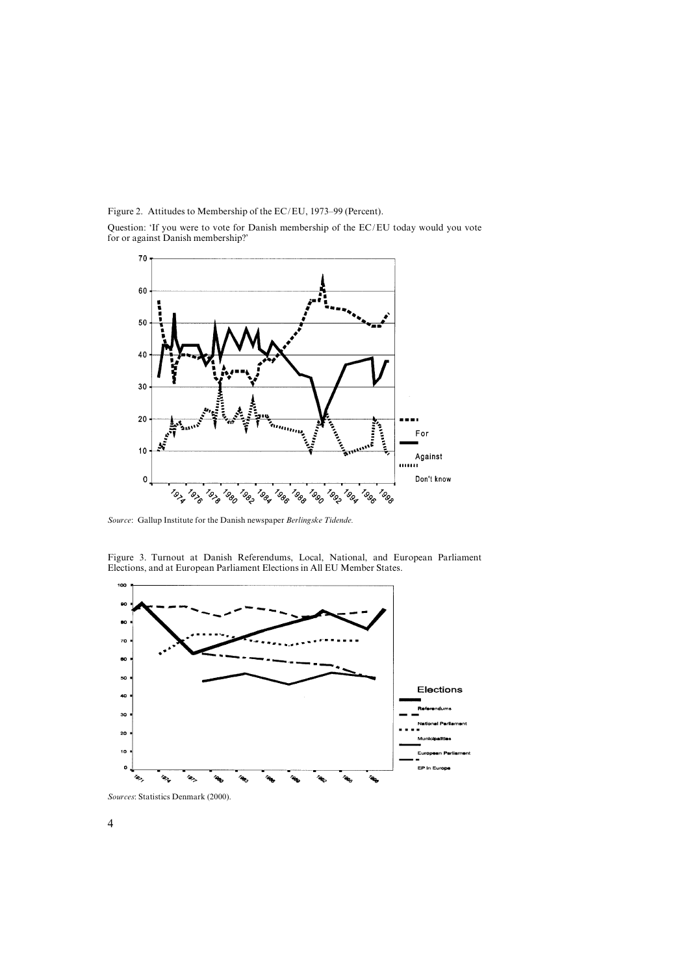Figure 2. Attitudes to Membership of the EC/EU, 1973-99 (Percent).

Question: `If you were to vote for Danish membership of the EC/EU today would you vote for or against Danish membership?'



Source: Gallup Institute for the Danish newspaper Berlingske Tidende.

Figure 3. Turnout at Danish Referendums, Local, National, and European Parliament Elections, and at European Parliament Elections in All EU Member States.



Sources: Statistics Denmark (2000).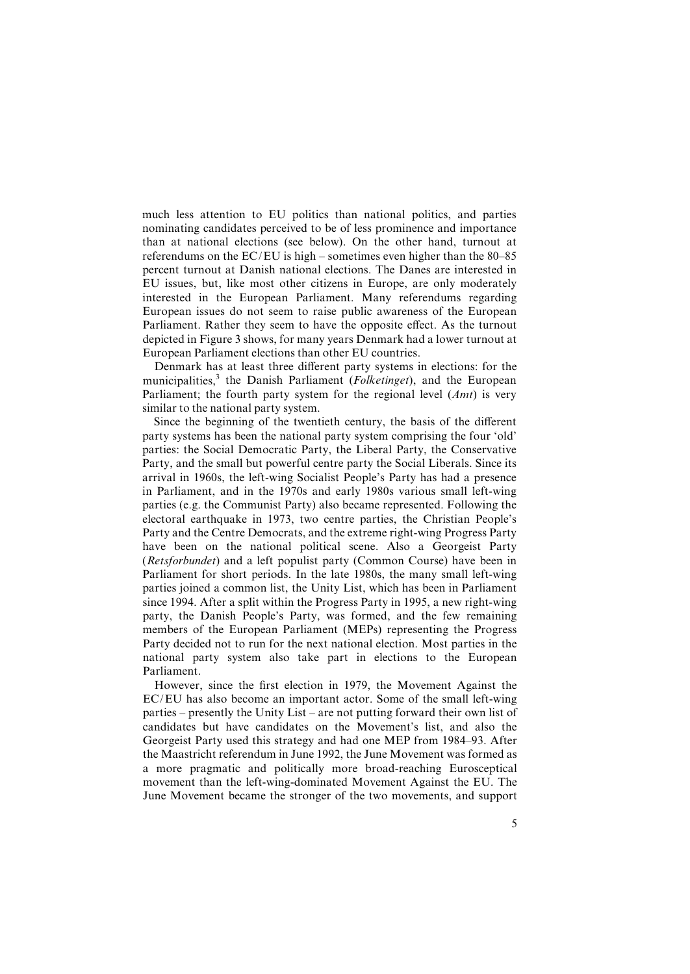much less attention to EU politics than national politics, and parties nominating candidates perceived to be of less prominence and importance than at national elections (see below). On the other hand, turnout at referendums on the  $EC/EU$  is high – sometimes even higher than the 80–85 percent turnout at Danish national elections. The Danes are interested in EU issues, but, like most other citizens in Europe, are only moderately interested in the European Parliament. Many referendums regarding European issues do not seem to raise public awareness of the European Parliament. Rather they seem to have the opposite effect. As the turnout depicted in Figure 3 shows, for many years Denmark had a lower turnout at European Parliament elections than other EU countries.

Denmark has at least three different party systems in elections: for the municipalities,<sup>3</sup> the Danish Parliament (Folketinget), and the European Parliament; the fourth party system for the regional level  $(Amt)$  is very similar to the national party system.

Since the beginning of the twentieth century, the basis of the different party systems has been the national party system comprising the four 'old' parties: the Social Democratic Party, the Liberal Party, the Conservative Party, and the small but powerful centre party the Social Liberals. Since its arrival in 1960s, the left-wing Socialist People's Party has had a presence in Parliament, and in the 1970s and early 1980s various small left-wing parties (e.g. the Communist Party) also became represented. Following the electoral earthquake in 1973, two centre parties, the Christian People's Party and the Centre Democrats, and the extreme right-wing Progress Party have been on the national political scene. Also a Georgeist Party (Retsforbundet) and a left populist party (Common Course) have been in Parliament for short periods. In the late 1980s, the many small left-wing parties joined a common list, the Unity List, which has been in Parliament since 1994. After a split within the Progress Party in 1995, a new right-wing party, the Danish People's Party, was formed, and the few remaining members of the European Parliament (MEPs) representing the Progress Party decided not to run for the next national election. Most parties in the national party system also take part in elections to the European Parliament.

However, since the first election in 1979, the Movement Against the EC/EU has also become an important actor. Some of the small left-wing parties  $-$  presently the Unity List  $-$  are not putting forward their own list of candidates but have candidates on the Movement's list, and also the Georgeist Party used this strategy and had one MEP from 1984^93. After the Maastricht referendum in June 1992, the June Movement was formed as a more pragmatic and politically more broad-reaching Eurosceptical movement than the left-wing-dominated Movement Against the EU. The June Movement became the stronger of the two movements, and support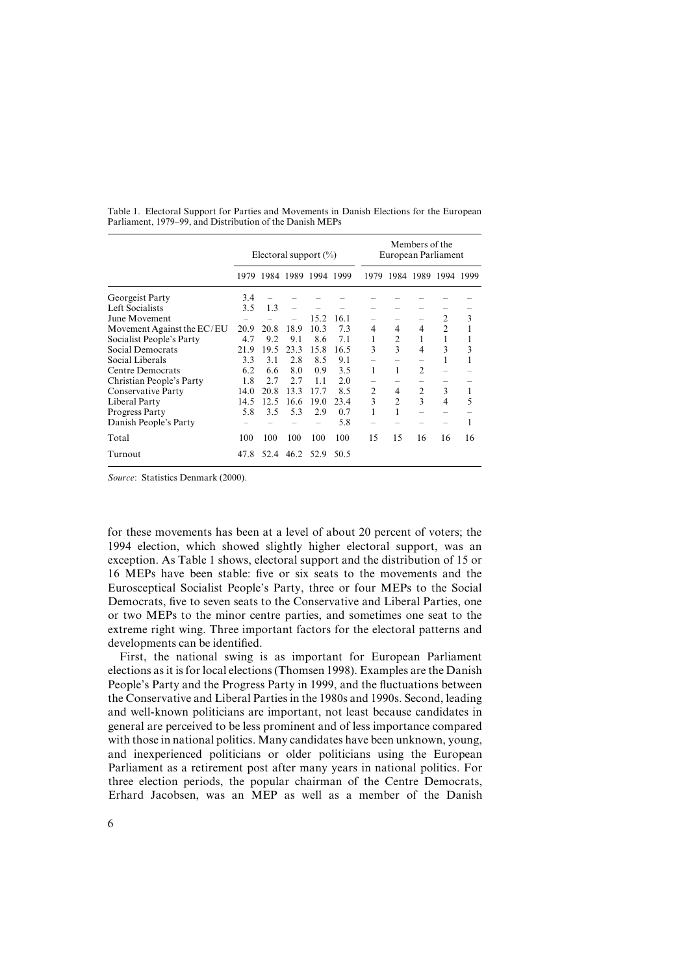|                            | Electoral support $(\%)$ |                     |      | Members of the<br>European Parliament |      |                          |                |                |                     |    |
|----------------------------|--------------------------|---------------------|------|---------------------------------------|------|--------------------------|----------------|----------------|---------------------|----|
|                            | 1979                     | 1984 1989 1994 1999 |      |                                       |      | 1979                     |                |                | 1984 1989 1994 1999 |    |
| Georgeist Party            | 3.4                      |                     |      |                                       |      |                          |                |                |                     |    |
| Left Socialists            | 3.5                      | 1.3                 |      |                                       |      |                          |                |                |                     |    |
| June Movement              |                          |                     |      | 15.2                                  | 16.1 |                          |                |                | 2                   | 3  |
| Movement Against the EC/EU | 20.9                     | 20.8                | 18.9 | 10.3                                  | 7.3  | 4                        | 4              | 4              | $\overline{2}$      | 1  |
| Socialist People's Party   | 4.7                      | 9.2                 | 9.1  | 8.6                                   | 7.1  | 1                        | 2              | 1              | 1                   | 1  |
| Social Democrats           | 219                      | 19.5                | 23.3 | 15.8                                  | 16.5 | 3                        | 3              | 4              | 3                   | 3  |
| Social Liberals            | 3.3                      | 3.1                 | 2.8  | 8.5                                   | 9.1  | $\overline{\phantom{0}}$ |                |                | 1                   |    |
| Centre Democrats           | 6.2                      | 6.6                 | 8.0  | 0.9                                   | 3.5  | 1                        | 1              | $\overline{2}$ |                     |    |
| Christian People's Party   | 1.8                      | 2.7                 | 2.7  | 1.1                                   | 2.0  |                          |                |                |                     |    |
| Conservative Party         | 14.0                     | 20.8                | 13.3 | 17.7                                  | 8.5  | $\overline{2}$           | 4              | $\overline{c}$ | 3                   | 1  |
| Liberal Party              | 14.5                     | 12.5                | 16.6 | 19.0                                  | 23.4 | 3                        | $\overline{2}$ | 3              | 4                   | 5  |
| Progress Party             | 5.8                      | 3.5                 | 5.3  | 2.9                                   | 0.7  | 1                        | 1              |                |                     |    |
| Danish People's Party      |                          |                     |      |                                       | 5.8  |                          |                |                |                     |    |
| Total                      | 100                      | 100                 | 100  | 100                                   | 100  | 15                       | 15             | 16             | 16                  | 16 |
| Turnout                    | 47.8                     | 52.4                | 46.2 | 52.9                                  | 50.5 |                          |                |                |                     |    |

Table 1. Electoral Support for Parties and Movements in Danish Elections for the European Parliament, 1979–99, and Distribution of the Danish MEPs

Source: Statistics Denmark (2000).

for these movements has been at a level of about 20 percent of voters; the 1994 election, which showed slightly higher electoral support, was an exception. As Table 1 shows, electoral support and the distribution of 15 or 16 MEPs have been stable: five or six seats to the movements and the Eurosceptical Socialist People's Party, three or four MEPs to the Social Democrats, five to seven seats to the Conservative and Liberal Parties, one or two MEPs to the minor centre parties, and sometimes one seat to the extreme right wing. Three important factors for the electoral patterns and developments can be identified.

First, the national swing is as important for European Parliament elections as it is for local elections (Thomsen 1998). Examples are the Danish People's Party and the Progress Party in 1999, and the fluctuations between the Conservative and Liberal Parties in the 1980s and 1990s. Second, leading and well-known politicians are important, not least because candidates in general are perceived to be less prominent and of less importance compared with those in national politics. Many candidates have been unknown, young, and inexperienced politicians or older politicians using the European Parliament as a retirement post after many years in national politics. For three election periods, the popular chairman of the Centre Democrats, Erhard Jacobsen, was an MEP as well as a member of the Danish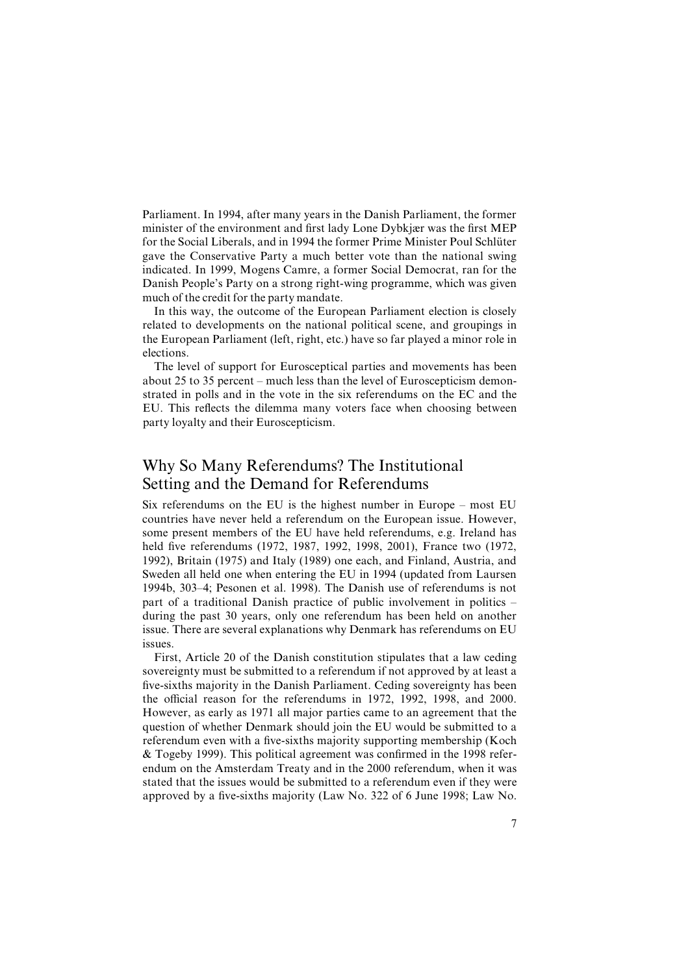Parliament. In 1994, after many years in the Danish Parliament, the former minister of the environment and first lady Lone Dybkjær was the first MEP for the Social Liberals, and in 1994 the former Prime Minister Poul Schlüter gave the Conservative Party a much better vote than the national swing indicated. In 1999, Mogens Camre, a former Social Democrat, ran for the Danish People's Party on a strong right-wing programme, which was given much of the credit for the party mandate.

In this way, the outcome of the European Parliament election is closely related to developments on the national political scene, and groupings in the European Parliament (left, right, etc.) have so far played a minor role in elections.

The level of support for Eurosceptical parties and movements has been about 25 to 35 percent – much less than the level of Euroscepticism demonstrated in polls and in the vote in the six referendums on the EC and the EU. This reflects the dilemma many voters face when choosing between party loyalty and their Euroscepticism.

# Why So Many Referendums? The Institutional Setting and the Demand for Referendums

Six referendums on the EU is the highest number in Europe  $-$  most EU countries have never held a referendum on the European issue. However, some present members of the EU have held referendums, e.g. Ireland has held five referendums (1972, 1987, 1992, 1998, 2001), France two (1972, 1992), Britain (1975) and Italy (1989) one each, and Finland, Austria, and Sweden all held one when entering the EU in 1994 (updated from Laursen 1994b, 303–4; Pesonen et al. 1998). The Danish use of referendums is not part of a traditional Danish practice of public involvement in politics ^ during the past 30 years, only one referendum has been held on another issue. There are several explanations why Denmark has referendums on EU issues.

First, Article 20 of the Danish constitution stipulates that a law ceding sovereignty must be submitted to a referendum if not approved by at least a five-sixths majority in the Danish Parliament. Ceding sovereignty has been the official reason for the referendums in 1972, 1992, 1998, and 2000. However, as early as 1971 all major parties came to an agreement that the question of whether Denmark should join the EU would be submitted to a referendum even with a five-sixths majority supporting membership (Koch & Togeby 1999). This political agreement was confirmed in the 1998 referendum on the Amsterdam Treaty and in the 2000 referendum, when it was stated that the issues would be submitted to a referendum even if they were approved by a five-sixths majority (Law No. 322 of 6 June 1998; Law No.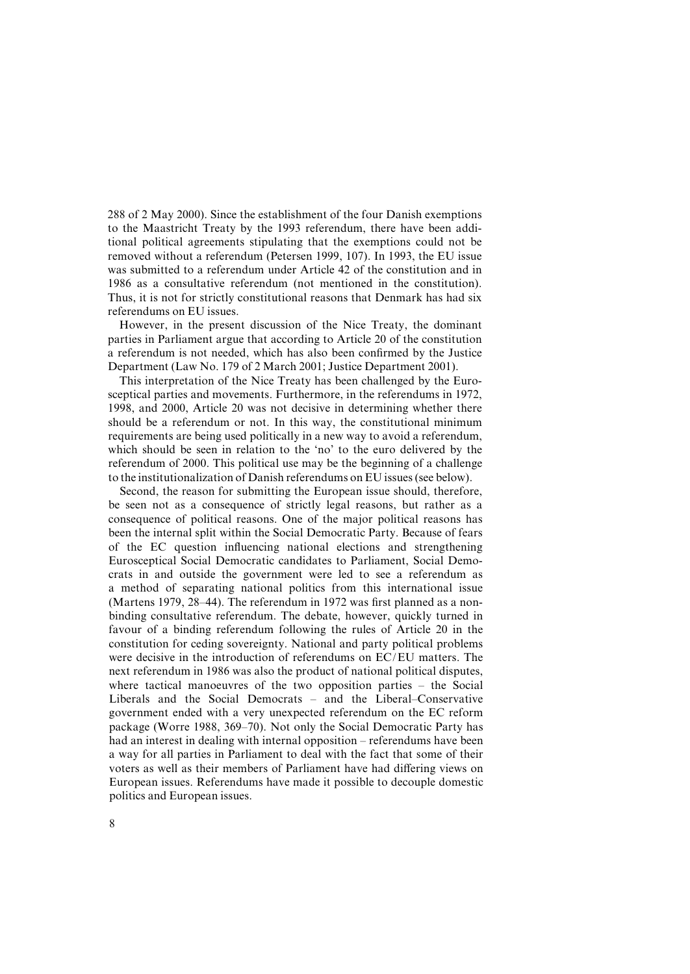288 of 2 May 2000). Since the establishment of the four Danish exemptions to the Maastricht Treaty by the 1993 referendum, there have been additional political agreements stipulating that the exemptions could not be removed without a referendum (Petersen 1999, 107). In 1993, the EU issue was submitted to a referendum under Article 42 of the constitution and in 1986 as a consultative referendum (not mentioned in the constitution). Thus, it is not for strictly constitutional reasons that Denmark has had six referendums on EU issues.

However, in the present discussion of the Nice Treaty, the dominant parties in Parliament argue that according to Article 20 of the constitution a referendum is not needed, which has also been confirmed by the Justice Department (Law No. 179 of 2 March 2001; Justice Department 2001).

This interpretation of the Nice Treaty has been challenged by the Eurosceptical parties and movements. Furthermore, in the referendums in 1972, 1998, and 2000, Article 20 was not decisive in determining whether there should be a referendum or not. In this way, the constitutional minimum requirements are being used politically in a new way to avoid a referendum, which should be seen in relation to the 'no' to the euro delivered by the referendum of 2000. This political use may be the beginning of a challenge to the institutionalization of Danish referendums on EU issues(see below).

Second, the reason for submitting the European issue should, therefore, be seen not as a consequence of strictly legal reasons, but rather as a consequence of political reasons. One of the major political reasons has been the internal split within the Social Democratic Party. Because of fears of the EC question influencing national elections and strengthening Eurosceptical Social Democratic candidates to Parliament, Social Democrats in and outside the government were led to see a referendum as a method of separating national politics from this international issue (Martens 1979,  $28-44$ ). The referendum in 1972 was first planned as a nonbinding consultative referendum. The debate, however, quickly turned in favour of a binding referendum following the rules of Article 20 in the constitution for ceding sovereignty. National and party political problems were decisive in the introduction of referendums on EC/EU matters. The next referendum in 1986 was also the product of national political disputes, where tactical manoeuvres of the two opposition parties  $-$  the Social Liberals and the Social Democrats - and the Liberal-Conservative government ended with a very unexpected referendum on the EC reform package (Worre 1988, 369^70). Not only the Social Democratic Party has had an interest in dealing with internal opposition – referendums have been a way for all parties in Parliament to deal with the fact that some of their voters as well as their members of Parliament have had differing views on European issues. Referendums have made it possible to decouple domestic politics and European issues.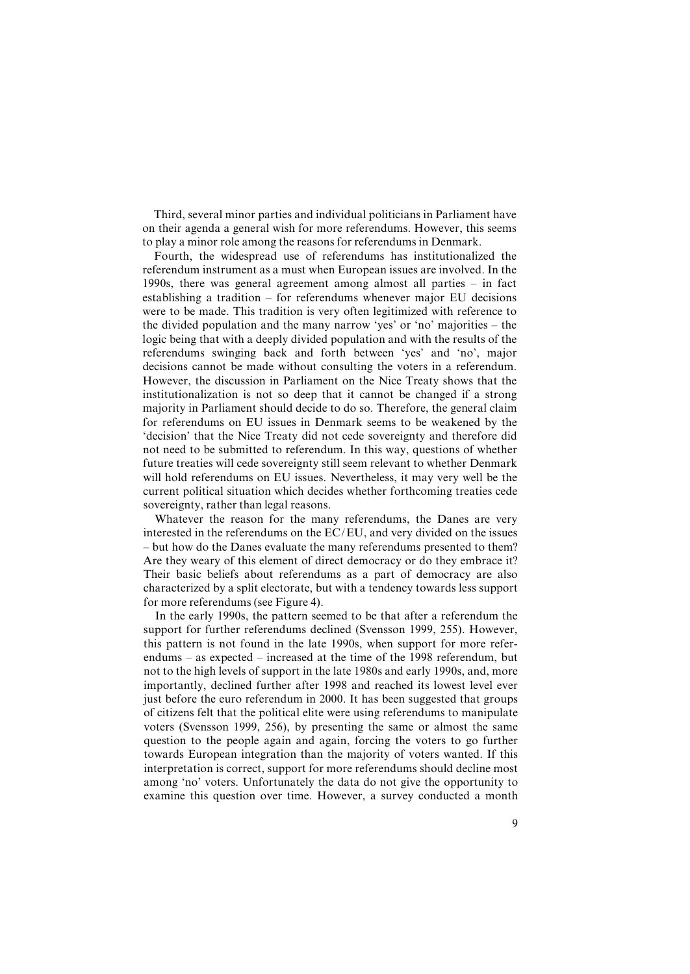Third, several minor parties and individual politicians in Parliament have on their agenda a general wish for more referendums. However, this seems to play a minor role among the reasons for referendums in Denmark.

Fourth, the widespread use of referendums has institutionalized the referendum instrument as a must when European issues are involved. In the 1990s, there was general agreement among almost all parties  $-$  in fact establishing a tradition  $-$  for referendums whenever major EU decisions were to be made. This tradition is very often legitimized with reference to the divided population and the many narrow 'yes' or 'no' majorities  $-$  the logic being that with a deeply divided population and with the results of the referendums swinging back and forth between `yes' and `no', major decisions cannot be made without consulting the voters in a referendum. However, the discussion in Parliament on the Nice Treaty shows that the institutionalization is not so deep that it cannot be changed if a strong majority in Parliament should decide to do so. Therefore, the general claim for referendums on EU issues in Denmark seems to be weakened by the `decision' that the Nice Treaty did not cede sovereignty and therefore did not need to be submitted to referendum. In this way, questions of whether future treaties will cede sovereignty still seem relevant to whether Denmark will hold referendums on EU issues. Nevertheless, it may very well be the current political situation which decides whether forthcoming treaties cede sovereignty, rather than legal reasons.

Whatever the reason for the many referendums, the Danes are very interested in the referendums on the EC/EU, and very divided on the issues - but how do the Danes evaluate the many referendums presented to them? Are they weary of this element of direct democracy or do they embrace it? Their basic beliefs about referendums as a part of democracy are also characterized by a split electorate, but with a tendency towards less support for more referendums (see Figure 4).

In the early 1990s, the pattern seemed to be that after a referendum the support for further referendums declined (Svensson 1999, 255). However, this pattern is not found in the late 1990s, when support for more referendums  $-$  as expected  $-$  increased at the time of the 1998 referendum, but not to the high levels of support in the late 1980s and early 1990s, and, more importantly, declined further after 1998 and reached its lowest level ever just before the euro referendum in 2000. It has been suggested that groups of citizens felt that the political elite were using referendums to manipulate voters (Svensson 1999, 256), by presenting the same or almost the same question to the people again and again, forcing the voters to go further towards European integration than the majority of voters wanted. If this interpretation is correct, support for more referendums should decline most among `no' voters. Unfortunately the data do not give the opportunity to examine this question over time. However, a survey conducted a month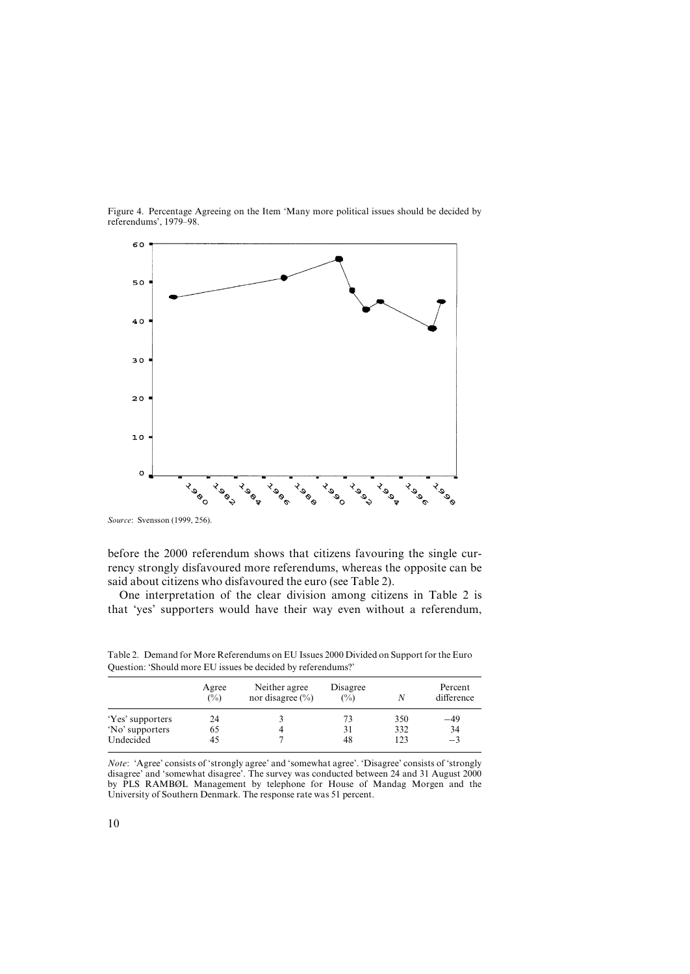

Figure 4. Percentage Agreeing on the Item `Many more political issues should be decided by referendums',  $1979-98$ .

Source: Svensson (1999, 256).

before the 2000 referendum shows that citizens favouring the single currency strongly disfavoured more referendums, whereas the opposite can be said about citizens who disfavoured the euro (see Table 2).

One interpretation of the clear division among citizens in Table 2 is that `yes' supporters would have their way even without a referendum,

|                  | Agree<br>$\binom{0}{0}$ | Neither agree<br>nor disagree $(\% )$ | Disagree<br>(%) | N   | Percent<br>difference |
|------------------|-------------------------|---------------------------------------|-----------------|-----|-----------------------|
| 'Yes' supporters | 24                      |                                       | 73              | 350 | $-49$                 |
| 'No' supporters  | 65                      | 4                                     |                 | 332 | 34                    |
| Undecided        | 45                      |                                       | 48              | 123 | $-3$                  |

Table 2. Demand for More Referendums on EU Issues 2000 Divided on Support for the Euro Question: 'Should more EU issues be decided by referendums?'

Note: `Agree' consists of `strongly agree' and `somewhat agree'. `Disagree' consists of `strongly disagree' and `somewhat disagree'. The survey was conducted between 24 and 31 August 2000 by PLS RAMBØL Management by telephone for House of Mandag Morgen and the University of Southern Denmark. The response rate was 51 percent.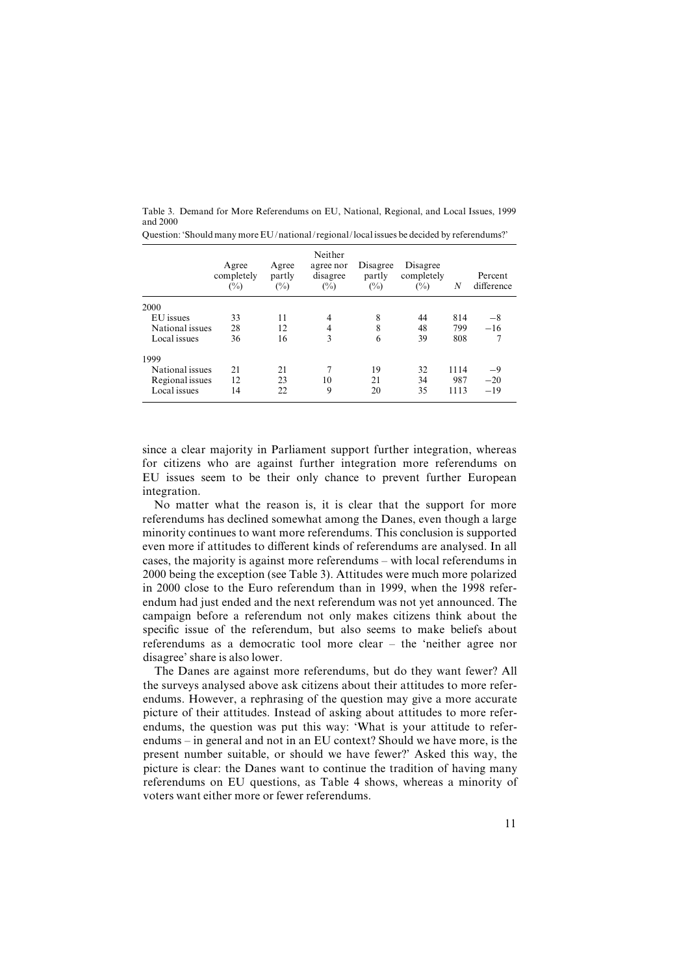|          |  | Table 3. Demand for More Referendums on EU, National, Regional, and Local Issues, 1999    |  |  |  |
|----------|--|-------------------------------------------------------------------------------------------|--|--|--|
| and 2000 |  |                                                                                           |  |  |  |
|          |  | Question: 'Should many more EU/national/regional/local issues be decided by referendums?' |  |  |  |

|                 | Agree<br>completely<br>$(\%)$ | Agree<br>partly<br>$\binom{0}{0}$ | Neither<br>agree nor<br>disagree<br>$(\%)$ | Disagree<br>partly<br>$(\%)$ | Disagree<br>completely<br>(%) | N    | Percent<br>difference |
|-----------------|-------------------------------|-----------------------------------|--------------------------------------------|------------------------------|-------------------------------|------|-----------------------|
| 2000            |                               |                                   |                                            |                              |                               |      |                       |
| EU issues       | 33                            | 11                                | 4                                          | 8                            | 44                            | 814  | -8                    |
| National issues | 28                            | 12                                | 4                                          | 8                            | 48                            | 799  | $-16$                 |
| Local issues    | 36                            | 16                                | 3                                          | 6                            | 39                            | 808  |                       |
| 1999            |                               |                                   |                                            |                              |                               |      |                       |
| National issues | 21                            | 21                                | 7                                          | 19                           | 32                            | 1114 | -9                    |
| Regional issues | 12                            | 23                                | 10                                         | 21                           | 34                            | 987  | $-20$                 |
| Local issues    | 14                            | 22                                | 9                                          | 20                           | 35                            | 1113 | $-19$                 |

since a clear majority in Parliament support further integration, whereas for citizens who are against further integration more referendums on EU issues seem to be their only chance to prevent further European integration.

No matter what the reason is, it is clear that the support for more referendums has declined somewhat among the Danes, even though a large minority continues to want more referendums. This conclusion is supported even more if attitudes to different kinds of referendums are analysed. In all cases, the majority is against more referendums – with local referendums in 2000 being the exception (see Table 3). Attitudes were much more polarized in 2000 close to the Euro referendum than in 1999, when the 1998 referendum had just ended and the next referendum was not yet announced. The campaign before a referendum not only makes citizens think about the specific issue of the referendum, but also seems to make beliefs about referendums as a democratic tool more clear - the 'neither agree nor disagree' share is also lower.

The Danes are against more referendums, but do they want fewer? All the surveys analysed above ask citizens about their attitudes to more referendums. However, a rephrasing of the question may give a more accurate picture of their attitudes. Instead of asking about attitudes to more referendums, the question was put this way: `What is your attitude to referendums - in general and not in an EU context? Should we have more, is the present number suitable, or should we have fewer?' Asked this way, the picture is clear: the Danes want to continue the tradition of having many referendums on EU questions, as Table 4 shows, whereas a minority of voters want either more or fewer referendums.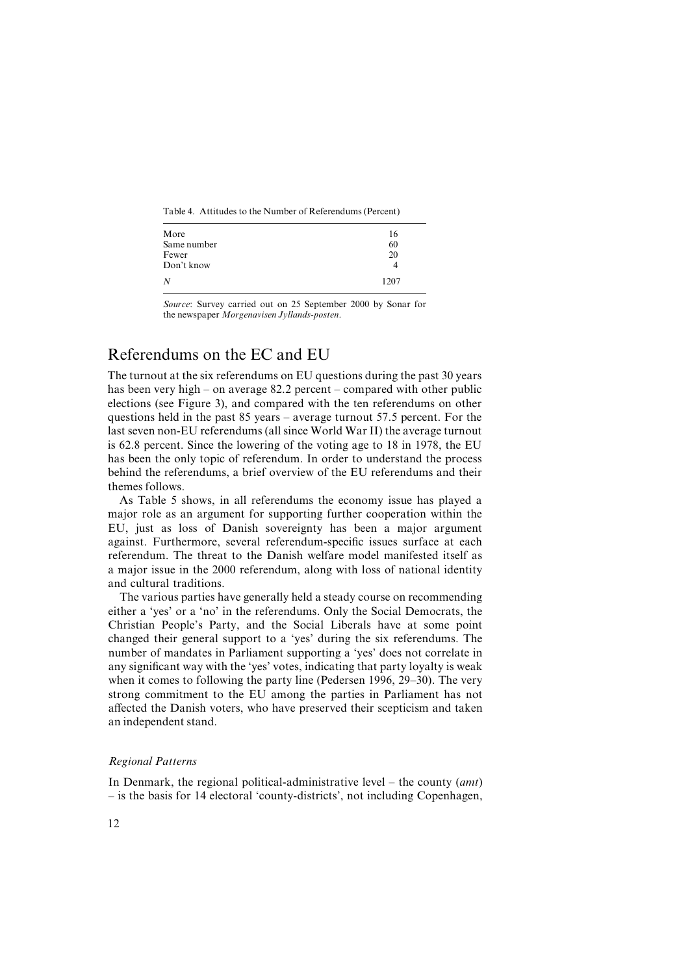Table 4. Attitudes to the Number of Referendums (Percent)

| More        | 16   |
|-------------|------|
| Same number | 60   |
| Fewer       | 20   |
| Don't know  |      |
| N           | 1207 |

Source: Survey carried out on 25 September 2000 by Sonar for the newspaper Morgenavisen Jyllands-posten.

### Referendums on the EC and EU

The turnout at the six referendums on EU questions during the past 30 years has been very high  $-$  on average 82.2 percent  $-$  compared with other public elections (see Figure 3), and compared with the ten referendums on other questions held in the past  $85$  years  $-$  average turnout 57.5 percent. For the last seven non-EU referendums (all since World War II) the average turnout is 62.8 percent. Since the lowering of the voting age to 18 in 1978, the EU has been the only topic of referendum. In order to understand the process behind the referendums, a brief overview of the EU referendums and their themes follows.

As Table 5 shows, in all referendums the economy issue has played a major role as an argument for supporting further cooperation within the EU, just as loss of Danish sovereignty has been a major argument against. Furthermore, several referendum-specific issues surface at each referendum. The threat to the Danish welfare model manifested itself as a major issue in the 2000 referendum, along with loss of national identity and cultural traditions.

The various parties have generally held a steady course on recommending either a `yes' or a `no' in the referendums. Only the Social Democrats, the Christian People's Party, and the Social Liberals have at some point changed their general support to a `yes' during the six referendums. The number of mandates in Parliament supporting a 'yes' does not correlate in any significant way with the 'yes' votes, indicating that party loyalty is weak when it comes to following the party line (Pedersen 1996,  $29-30$ ). The very strong commitment to the EU among the parties in Parliament has not affected the Danish voters, who have preserved their scepticism and taken an independent stand.

### Regional Patterns

In Denmark, the regional political-administrative level – the county (*amt*)  $-$  is the basis for 14 electoral 'county-districts', not including Copenhagen,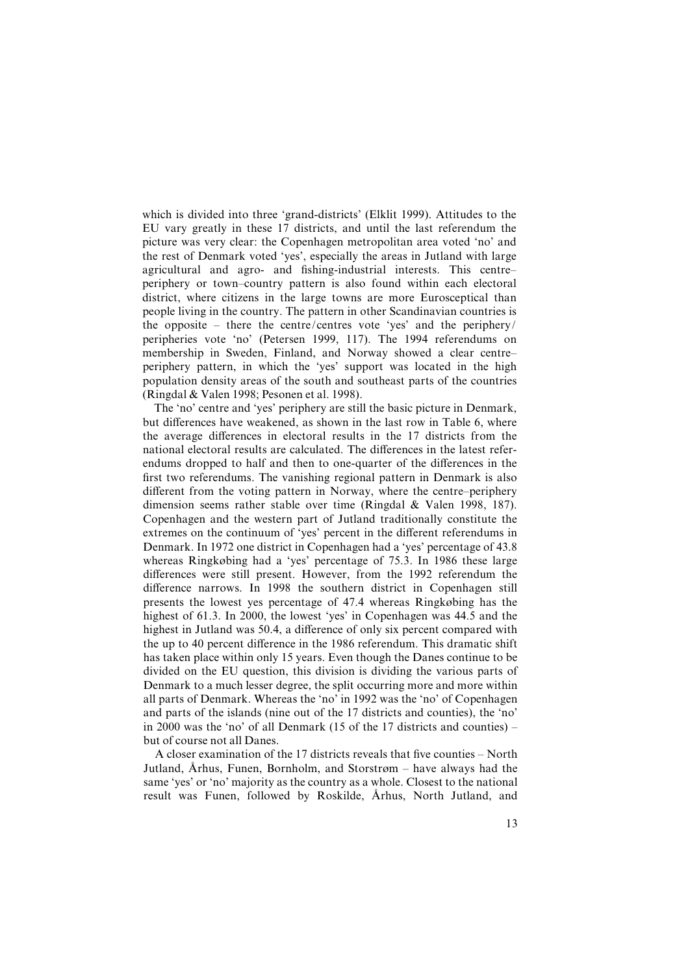which is divided into three `grand-districts' (Elklit 1999). Attitudes to the EU vary greatly in these 17 districts, and until the last referendum the picture was very clear: the Copenhagen metropolitan area voted `no' and the rest of Denmark voted `yes', especially the areas in Jutland with large agricultural and agro- and fishing-industrial interests. This centreperiphery or town-country pattern is also found within each electoral district, where citizens in the large towns are more Eurosceptical than people living in the country. The pattern in other Scandinavian countries is the opposite  $-$  there the centre/centres vote 'yes' and the periphery/ peripheries vote `no' (Petersen 1999, 117). The 1994 referendums on membership in Sweden, Finland, and Norway showed a clear centre^ periphery pattern, in which the `yes' support was located in the high population density areas of the south and southeast parts of the countries (Ringdal & Valen 1998; Pesonen et al. 1998).

The 'no' centre and 'yes' periphery are still the basic picture in Denmark, but differences have weakened, as shown in the last row in Table 6, where the average differences in electoral results in the 17 districts from the national electoral results are calculated. The differences in the latest referendums dropped to half and then to one-quarter of the differences in the first two referendums. The vanishing regional pattern in Denmark is also different from the voting pattern in Norway, where the centre-periphery dimension seems rather stable over time (Ringdal & Valen 1998, 187). Copenhagen and the western part of Jutland traditionally constitute the extremes on the continuum of 'yes' percent in the different referendums in Denmark. In 1972 one district in Copenhagen had a 'yes' percentage of 43.8 whereas Ringkøbing had a 'yes' percentage of 75.3. In 1986 these large differences were still present. However, from the 1992 referendum the difference narrows. In 1998 the southern district in Copenhagen still presents the lowest yes percentage of 47.4 whereas Ringkøbing has the highest of 61.3. In 2000, the lowest 'yes' in Copenhagen was 44.5 and the highest in Jutland was 50.4, a difference of only six percent compared with the up to 40 percent difference in the 1986 referendum. This dramatic shift has taken place within only 15 years. Even though the Danes continue to be divided on the EU question, this division is dividing the various parts of Denmark to a much lesser degree, the split occurring more and more within all parts of Denmark. Whereas the `no' in 1992 was the `no' of Copenhagen and parts of the islands (nine out of the 17 districts and counties), the `no' in 2000 was the 'no' of all Denmark (15 of the 17 districts and counties)  $$ but of course not all Danes.

A closer examination of the  $17$  districts reveals that five counties  $-$  North Jutland, Århus, Funen, Bornholm, and Storstrøm  $-$  have always had the same 'yes' or 'no' majority as the country as a whole. Closest to the national result was Funen, followed by Roskilde, Århus, North Jutland, and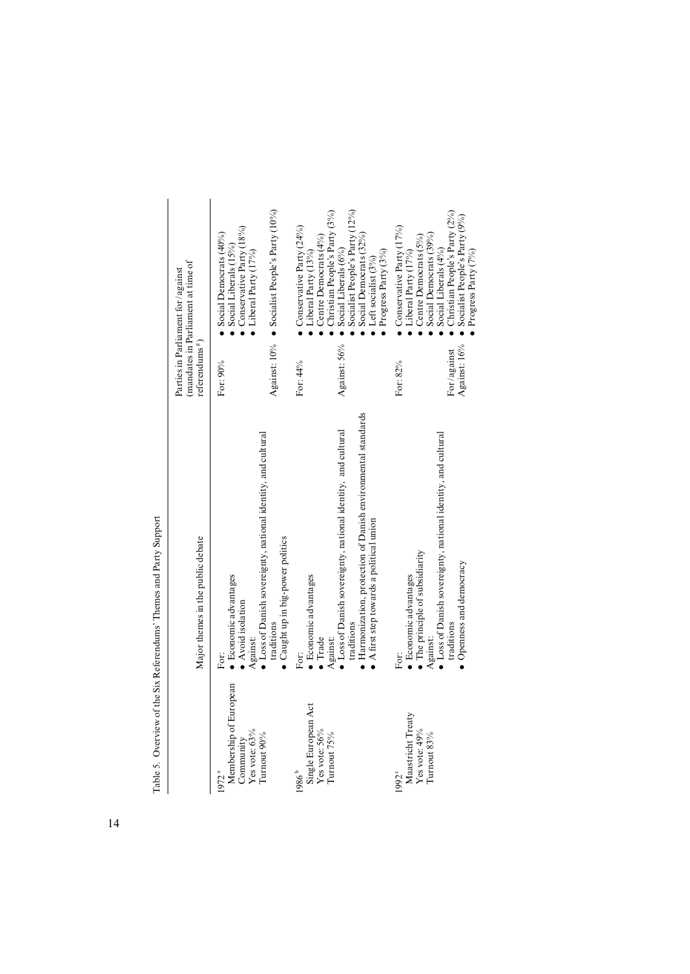| $\sim$ Themes and Part $\cdots$<br>$\frac{1}{3}$<br>siv Dafar<br>Table 5. Overview of the Six R |  |
|-------------------------------------------------------------------------------------------------|--|
| f                                                                                               |  |

| (mandates in Parliament at time of<br>Parties in Parliament for/against | Against: $10\%$ • Socialist People's Party (10%)<br>Conservative Party (18%)<br>Social Democrats (40%)<br>Social Liberals (15%)<br>Liberal Party (17%)                                             | Socialist People's Party (12%)<br>Christian People's Party (3%)<br>Conservative Party (24%)<br>Social Democrats (32%)<br>Centre Democrats (4%)<br>Social Liberals (6%)<br>Progress Party (3%)<br>Liberal Party (13%)<br>Left socialist (3%) | Christian People's Party (2%)<br>Socialist People's Party (9%)<br>Conservative Party (17%)<br>Social Democrats (39%)<br>Centre Democrats (5%)<br>Social Liberals (4%)<br>Liberal Party (17%)<br>Progress Party (7%) |
|-------------------------------------------------------------------------|----------------------------------------------------------------------------------------------------------------------------------------------------------------------------------------------------|---------------------------------------------------------------------------------------------------------------------------------------------------------------------------------------------------------------------------------------------|---------------------------------------------------------------------------------------------------------------------------------------------------------------------------------------------------------------------|
| referendums <sup>5</sup> )                                              | For: 90%                                                                                                                                                                                           | Against: 56%<br>For: 44%                                                                                                                                                                                                                    | Against: 16%<br>For/against<br>For: 82%                                                                                                                                                                             |
| Major themes in the public debate                                       | • Loss of Danish sovereignty, national identity, and cultural<br>• Caught up in big-power politics<br>$\bullet$ Economic advantages<br>$\bullet$ Avoid isolation<br>traditions<br>Against:<br>For: | Harmonization, protection of Danish environmental standards<br>• Loss of Danish sovereignty, national identity, and cultural<br>A first step towards a political union<br>· Economic advantages<br>traditions<br>Against:<br>Trade<br>For:  | • Loss of Danish sovereignty, national identity, and cultural<br>The principle of subsidiarity<br>· Openness and democracy<br>Economic advantages<br>traditions<br>Against:<br>For:                                 |
|                                                                         | Membership of European<br>Yes vote: 63%<br>Turnout 90%<br>Community<br>1972 <sup>a</sup>                                                                                                           | Single European Act<br>Yes vote: 56%<br>Turnout 75%<br>1986 <sup>b</sup>                                                                                                                                                                    | Maastricht Treaty<br>Yes vote: 49%<br>Turnout 83%<br>1992 <sup>c</sup>                                                                                                                                              |

1 4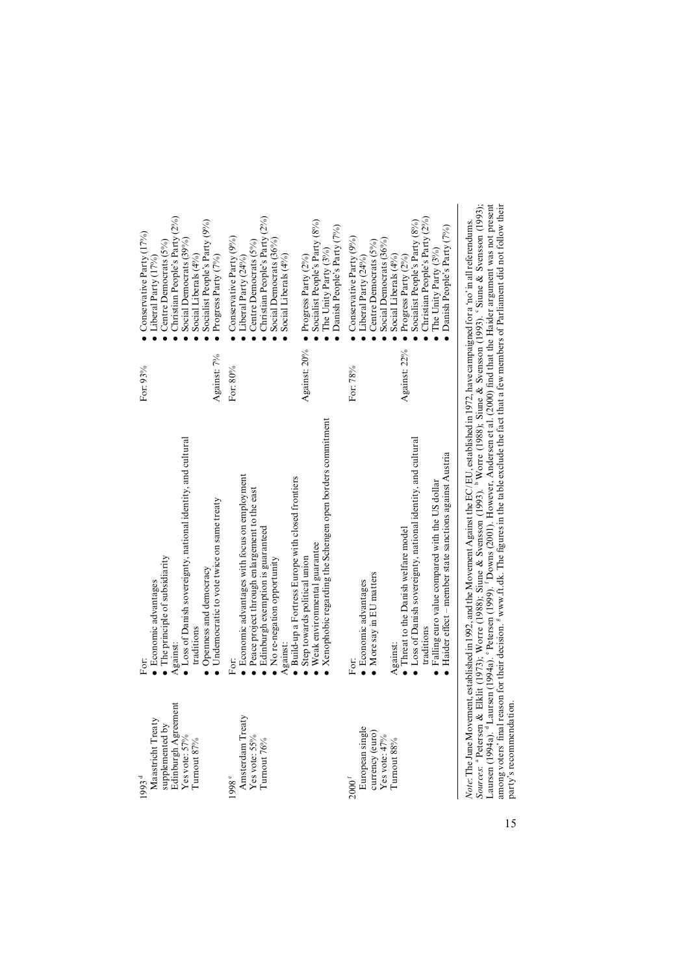| For:<br>Amsterdam Treaty<br>° 1998                                                                                                                                       | • Loss of Danish sovereignty, national identity, and cultural<br>• Undemocratic to vote twice on same treaty<br>Openness and democracy                                                                            | Against: 7%  | Christian People's Party (2%)<br>Socialist People's Party (9%)<br>Social Democrats (39%)<br>Centre Democrats (5%)<br>Social Liberals (4%)<br>Progress Party (7%) |
|--------------------------------------------------------------------------------------------------------------------------------------------------------------------------|-------------------------------------------------------------------------------------------------------------------------------------------------------------------------------------------------------------------|--------------|------------------------------------------------------------------------------------------------------------------------------------------------------------------|
| $\bullet$ No re-negation opportunity<br>Against:<br>Yes vote: 55%<br>Turnout 76%                                                                                         | $\bullet$ Economic advantages with focus on employment<br>• Build-up a Fortress Europe with closed frontiers<br>Peace project through enlargement to the east<br>Edinburgh exemption is guaranteed                | For: 80%     | Christian People's Party (2%)<br>Conservative Party (9%)<br>Social Democrats (36%)<br>Centre Democrats (5%)<br>Social Liberals (4%)<br>Liberal Party (24%)       |
|                                                                                                                                                                          | • Xenophobic regarding the Schengen open borders commitment<br>Weak environmental guarantee<br>Step towards political union                                                                                       | Against: 20% | Socialist People's Party (8%)<br>$\bullet$ Danish People's Party (7%)<br>The Unity Party (3%)<br>• Progress Party $(2\%)$                                        |
| $\bullet$ More say in EU matters<br>· Economic advantages<br>Against:<br>For:<br>European single<br>currency (euro)<br>Yes vote: $47\%$<br>Turnout 88%<br>$2000^{\rm f}$ |                                                                                                                                                                                                                   | For: 78%     | Conservative Party (9%)<br>Social Democrats (36%)<br>Centre Democrats (5%)<br>Social Liberals (4%)<br>Liberal Party (24%)                                        |
| traditions                                                                                                                                                               | • Loss of Danish sovereignty, national identity, and cultural<br>Haider effect – member state sanctions against Austria<br>Falling euro value compared with the US dollar<br>• Threat to the Danish welfare model | Against: 22% | Christian People's Party (2%)<br>Socialist People's Party (8%)<br>Danish People's Party (7%)<br>The Unity Party (3%)<br>Progress Party (2%)                      |

Movement, established in 1992, and the Movement Against the E C/EU, established in 1972, have campaigned for a `no' in allreferendums. Sources: <sup>a</sup> Petersen & Elklit (1973); Worre (1988); Siune & Svensson (1993). b Worre (1988); Siune & Svensson (1993). c Siune & Svensson (1993); Laursen (1994a). <sup>4</sup> Laursen (1994a). Petersen (1999). <sup>f</sup> Downs (2001). However, Andersen et al. (2000) find that the Haider argument was not present among voters' final reason for their decision. <sup>§</sup> www.ft.dk. The figures in the table exclude the fact that a fe w members of Parliament did not follo w their party's recommendation.

15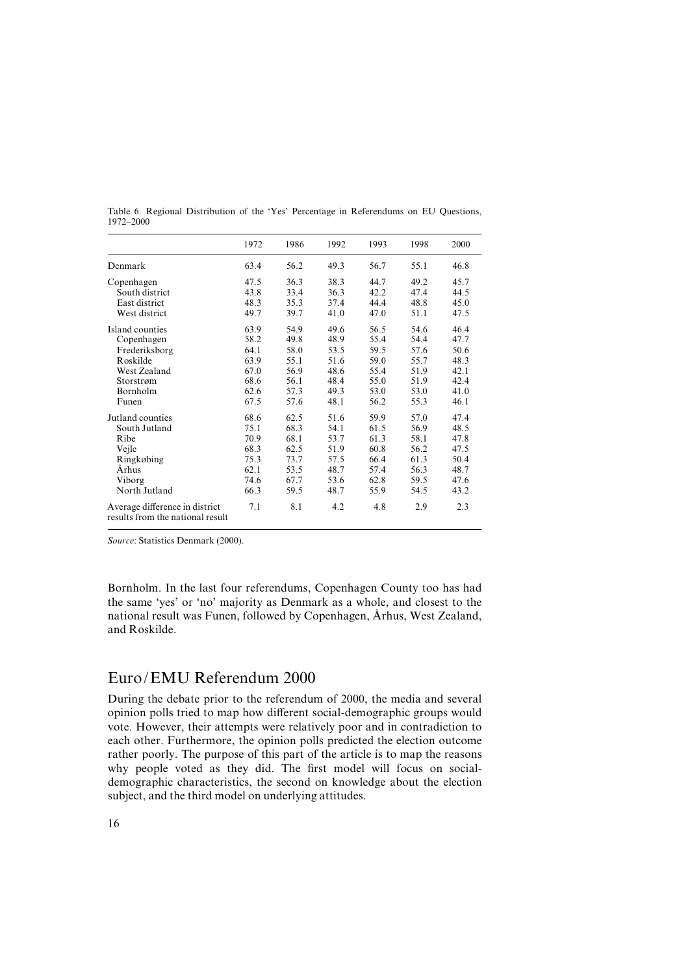|                                                                    | 1972 | 1986 | 1992 | 1993 | 1998 | 2000 |
|--------------------------------------------------------------------|------|------|------|------|------|------|
| Denmark                                                            | 63.4 | 56.2 | 49.3 | 56.7 | 55.1 | 46.8 |
| Copenhagen                                                         | 47.5 | 36.3 | 38.3 | 44.7 | 49.2 | 45.7 |
| South district                                                     | 43.8 | 33.4 | 36.3 | 42.2 | 47.4 | 44.5 |
| East district                                                      | 48.3 | 35.3 | 37.4 | 44.4 | 48.8 | 45.0 |
| West district                                                      | 49.7 | 39.7 | 41.0 | 47.0 | 51.1 | 47.5 |
| Island counties                                                    | 63.9 | 54.9 | 49.6 | 56.5 | 54.6 | 46.4 |
| Copenhagen                                                         | 58.2 | 49.8 | 48.9 | 55.4 | 54.4 | 47.7 |
| Frederiksborg                                                      | 64.1 | 58.0 | 53.5 | 59.5 | 57.6 | 50.6 |
| Roskilde                                                           | 63.9 | 55.1 | 51.6 | 59.0 | 55.7 | 48.3 |
| West Zealand                                                       | 67.0 | 56.9 | 48.6 | 55.4 | 51.9 | 42.1 |
| Storstrøm                                                          | 68.6 | 56.1 | 48.4 | 55.0 | 51.9 | 42.4 |
| Bornholm                                                           | 62.6 | 57.3 | 49.3 | 53.0 | 53.0 | 41.0 |
| Funen                                                              | 67.5 | 57.6 | 48.1 | 56.2 | 55.3 | 46.1 |
| Jutland counties                                                   | 68.6 | 62.5 | 51.6 | 59.9 | 57.0 | 47.4 |
| South Jutland                                                      | 75.1 | 68.3 | 54.1 | 61.5 | 56.9 | 48.5 |
| Ribe                                                               | 70.9 | 68.1 | 53.7 | 61.3 | 58.1 | 47.8 |
| Vejle                                                              | 68.3 | 62.5 | 51.9 | 60.8 | 56.2 | 47.5 |
| Ringkøbing                                                         | 75.3 | 73.7 | 57.5 | 66.4 | 61.3 | 50.4 |
| Århus                                                              | 62.1 | 53.5 | 48.7 | 57.4 | 56.3 | 48.7 |
| Viborg                                                             | 74.6 | 67.7 | 53.6 | 62.8 | 59.5 | 47.6 |
| North Jutland                                                      | 66.3 | 59.5 | 48.7 | 55.9 | 54.5 | 43.2 |
| Average difference in district<br>results from the national result | 7.1  | 8.1  | 4.2  | 4.8  | 2.9  | 2.3  |

Table 6. Regional Distribution of the `Yes' Percentage in Referendums on EU Questions, 1972^2000

Source: Statistics Denmark (2000).

Bornholm. In the last four referendums, Copenhagen County too has had the same `yes' or `no' majority as Denmark as a whole, and closest to the national result was Funen, followed by Copenhagen, Århus, West Zealand, and Roskilde.

### Euro/EMU Referendum 2000

During the debate prior to the referendum of 2000, the media and several opinion polls tried to map how different social-demographic groups would vote. However, their attempts were relatively poor and in contradiction to each other. Furthermore, the opinion polls predicted the election outcome rather poorly. The purpose of this part of the article is to map the reasons why people voted as they did. The first model will focus on socialdemographic characteristics, the second on knowledge about the election subject, and the third model on underlying attitudes.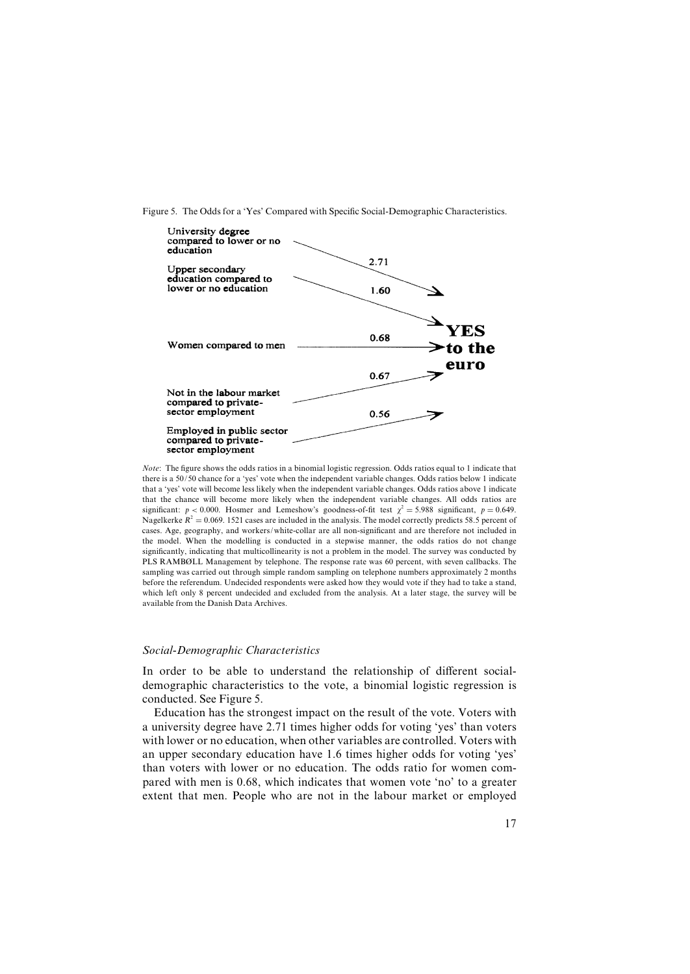Figure 5. The Odds for a 'Yes' Compared with Specific Social-Demographic Characteristics.



Note: The figure shows the odds ratios in a binomial logistic regression. Odds ratios equal to 1 indicate that there is a 50/50 chance for a 'yes' vote when the independent variable changes. Odds ratios below 1 indicate that a 'yes' vote will become less likely when the independent variable changes. Odds ratios above 1 indicate that the chance will become more likely when the independent variable changes. All odds ratios are significant:  $p < 0.000$ . Hosmer and Lemeshow's goodness-of-fit test  $\chi^2 = 5.988$  significant,  $p = 0.649$ . Nagelkerke  $R^2 = 0.069$ . 1521 cases are included in the analysis. The model correctly predicts 58.5 percent of cases. Age, geography, and workers/white-collar are all non-significant and are therefore not included in the model. When the modelling is conducted in a stepwise manner, the odds ratios do not change significantly, indicating that multicollinearity is not a problem in the model. The survey was conducted by PLS RAMBØLL Management by telephone. The response rate was 60 percent, with seven callbacks. The sampling was carried out through simple random sampling on telephone numbers approximately 2 months before the referendum. Undecided respondents were asked how they would vote if they had to take a stand, which left only 8 percent undecided and excluded from the analysis. At a later stage, the survey will be available from the Danish Data Archives.

#### Social-Demographic Characteristics

In order to be able to understand the relationship of different socialdemographic characteristics to the vote, a binomial logistic regression is conducted. See Figure 5.

Education has the strongest impact on the result of the vote. Voters with a university degree have 2.71 times higher odds for voting `yes' than voters with lower or no education, when other variables are controlled. Voters with an upper secondary education have 1.6 times higher odds for voting `yes' than voters with lower or no education. The odds ratio for women compared with men is 0.68, which indicates that women vote `no' to a greater extent that men. People who are not in the labour market or employed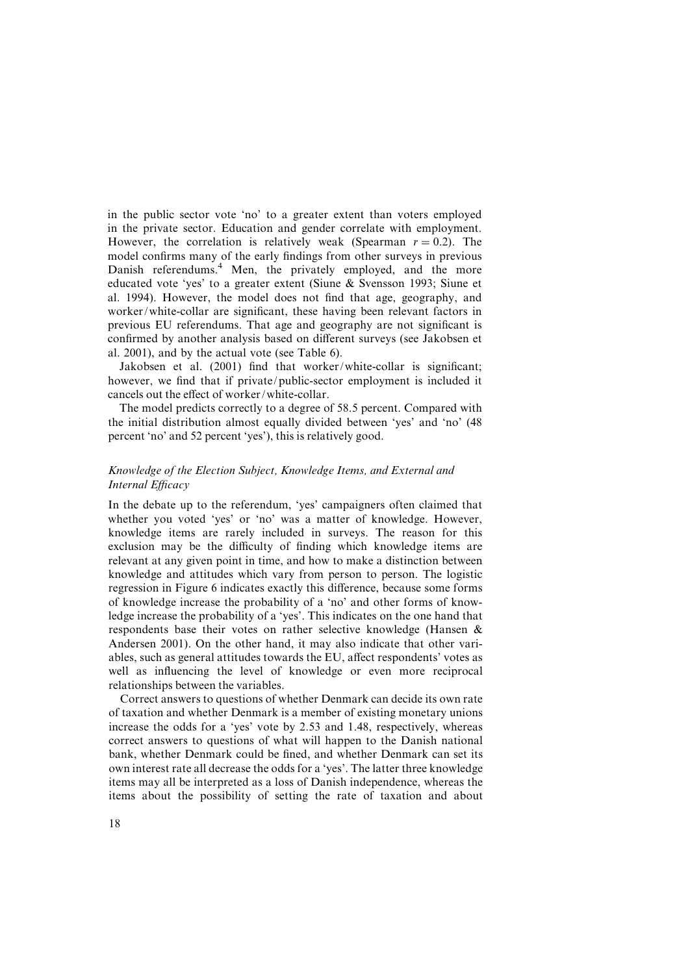in the public sector vote `no' to a greater extent than voters employed in the private sector. Education and gender correlate with employment. However, the correlation is relatively weak (Spearman  $r = 0.2$ ). The model confirms many of the early findings from other surveys in previous Danish referendums. <sup>4</sup> Men, the privately employed, and the more educated vote 'yes' to a greater extent (Siune  $\&$  Svensson 1993; Siune et al. 1994). However, the model does not find that age, geography, and worker/white-collar are significant, these having been relevant factors in previous EU referendums. That age and geography are not significant is confirmed by another analysis based on different surveys (see Jakobsen et al. 2001), and by the actual vote (see Table 6).

Jakobsen et al. (2001) find that worker/white-collar is significant; however, we find that if private/public-sector employment is included it cancels out the effect of worker/white-collar.

The model predicts correctly to a degree of 58.5 percent. Compared with the initial distribution almost equally divided between `yes' and `no' (48 percent `no' and 52 percent `yes'), this is relatively good.

### Knowledge of the Election Subject, Knowledge Items, and External and Internal Efficacy

In the debate up to the referendum, `yes' campaigners often claimed that whether you voted 'yes' or 'no' was a matter of knowledge. However, knowledge items are rarely included in surveys. The reason for this exclusion may be the difficulty of finding which knowledge items are relevant at any given point in time, and how to make a distinction between knowledge and attitudes which vary from person to person. The logistic regression in Figure 6 indicates exactly this difference, because some forms of knowledge increase the probability of a `no' and other forms of knowledge increase the probability of a `yes'. This indicates on the one hand that respondents base their votes on rather selective knowledge (Hansen & Andersen 2001). On the other hand, it may also indicate that other variables, such as general attitudes towards the EU, affect respondents' votes as well as influencing the level of knowledge or even more reciprocal relationships between the variables.

Correct answers to questions of whether Denmark can decide its own rate of taxation and whether Denmark is a member of existing monetary unions increase the odds for a `yes' vote by 2.53 and 1.48, respectively, whereas correct answers to questions of what will happen to the Danish national bank, whether Denmark could be fined, and whether Denmark can set its own interest rate all decrease the odds for a `yes'. The latter three knowledge items may all be interpreted as a loss of Danish independence, whereas the items about the possibility of setting the rate of taxation and about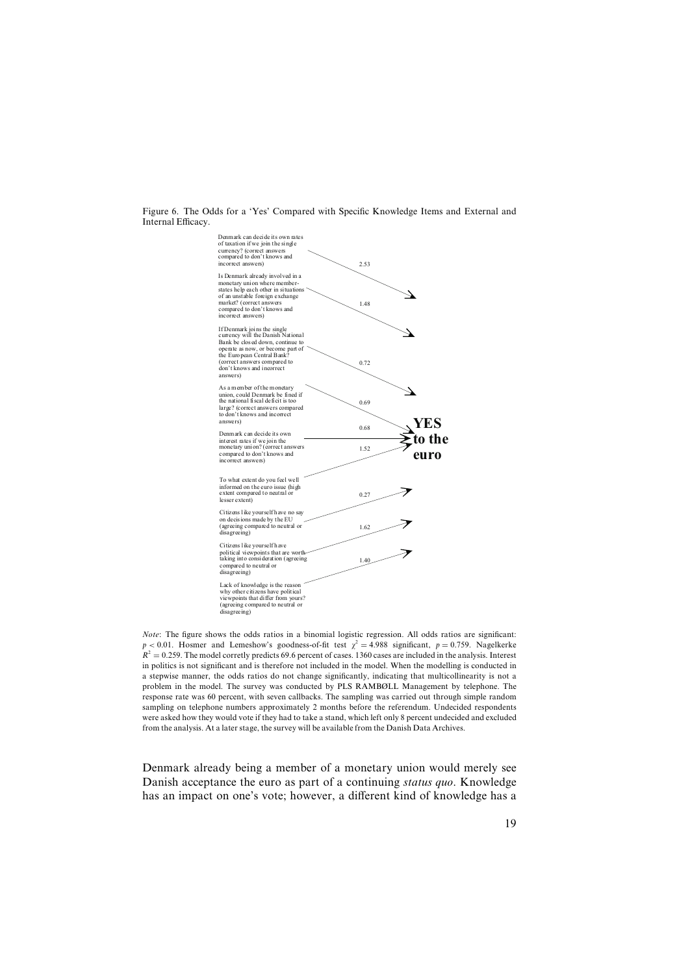Figure 6. The Odds for a 'Yes' Compared with Specific Knowledge Items and External and Internal Efficacy.



Note: The figure shows the odds ratios in a binomial logistic regression. All odds ratios are significant:  $p < 0.01$ . Hosmer and Lemeshow's goodness-of-fit test  $\chi^2 = 4.988$  significant,  $p = 0.759$ . Nagelkerke  $R<sup>2</sup> = 0.259$ . The model corretly predicts 69.6 percent of cases. 1360 cases are included in the analysis. Interest in politics is not significant and is therefore not included in the model. When the modelling is conducted in a stepwise manner, the odds ratios do not change significantly, indicating that multicollinearity is not a problem in the model. The survey was conducted by PLS RAMBÖLL Management by telephone. The response rate was 60 percent, with seven callbacks. The sampling was carried out through simple random sampling on telephone numbers approximately 2 months before the referendum. Undecided respondents were asked how they would vote if they had to take a stand, which left only 8 percent undecided and excluded from the analysis. At a later stage, the survey will be available from the Danish Data Archives.

Denmark already being a member of a monetary union would merely see Danish acceptance the euro as part of a continuing status quo. Knowledge has an impact on one's vote; however, a different kind of knowledge has a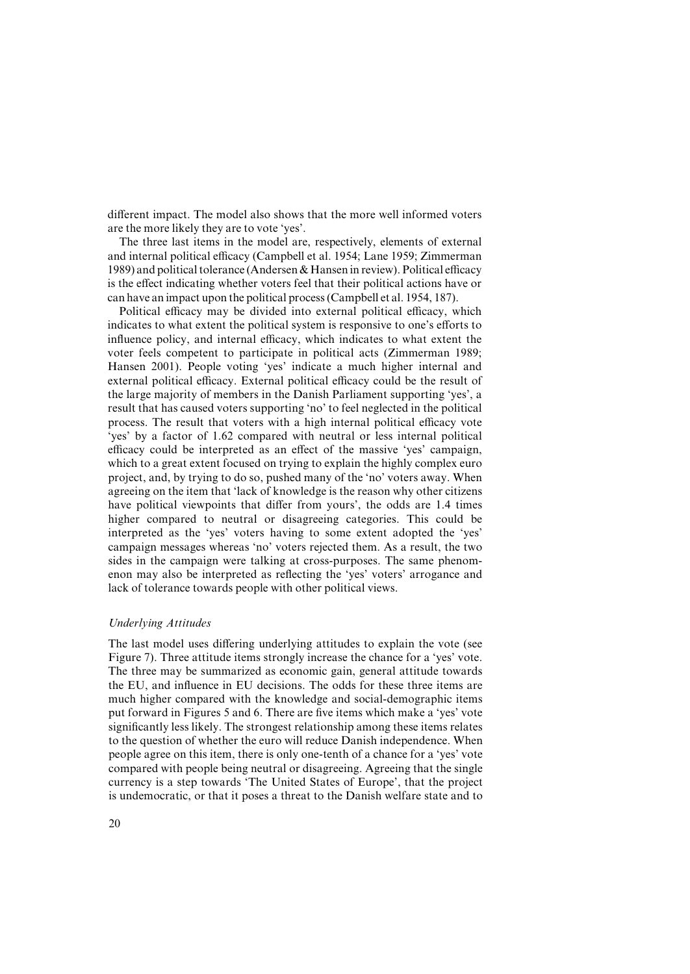different impact. The model also shows that the more well informed voters are the more likely they are to vote `yes'.

The three last items in the model are, respectively, elements of external and internal political efficacy (Campbell et al. 1954; Lane 1959; Zimmerman 1989) and political tolerance (Andersen & Hansen in review). Political efficacy is the effect indicating whether voters feel that their political actions have or can have an impact upon the political process(Campbell et al. 1954, 187).

Political efficacy may be divided into external political efficacy, which indicates to what extent the political system is responsive to one's efforts to influence policy, and internal efficacy, which indicates to what extent the voter feels competent to participate in political acts (Zimmerman 1989; Hansen 2001). People voting `yes' indicate a much higher internal and external political efficacy. External political efficacy could be the result of the large majority of members in the Danish Parliament supporting `yes', a result that has caused voters supporting `no' to feel neglected in the political process. The result that voters with a high internal political efficacy vote `yes' by a factor of 1.62 compared with neutral or less internal political efficacy could be interpreted as an effect of the massive 'yes' campaign, which to a great extent focused on trying to explain the highly complex euro project, and, by trying to do so, pushed many of the `no' voters away. When agreeing on the item that 'lack of knowledge is the reason why other citizens have political viewpoints that differ from yours', the odds are 1.4 times higher compared to neutral or disagreeing categories. This could be interpreted as the `yes' voters having to some extent adopted the `yes' campaign messages whereas `no' voters rejected them. As a result, the two sides in the campaign were talking at cross-purposes. The same phenomenon may also be interpreted as reflecting the 'yes' voters' arrogance and lack of tolerance towards people with other political views.

#### Underlying Attitudes

The last model uses differing underlying attitudes to explain the vote (see Figure 7). Three attitude items strongly increase the chance for a 'yes' vote. The three may be summarized as economic gain, general attitude towards the EU, and influence in EU decisions. The odds for these three items are much higher compared with the knowledge and social-demographic items put forward in Figures 5 and 6. There are five items which make a 'yes' vote significantly less likely. The strongest relationship among these items relates to the question of whether the euro will reduce Danish independence. When people agree on this item, there is only one-tenth of a chance for a `yes' vote compared with people being neutral or disagreeing. Agreeing that the single currency is a step towards `The United States of Europe', that the project is undemocratic, or that it poses a threat to the Danish welfare state and to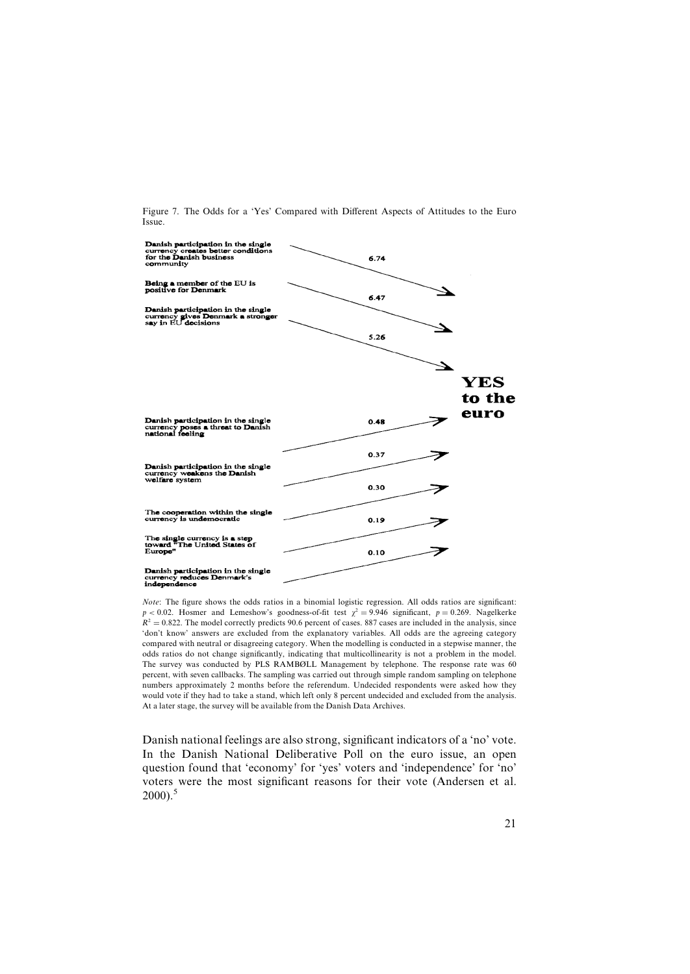Figure 7. The Odds for a 'Yes' Compared with Different Aspects of Attitudes to the Euro Issue.



Note: The figure shows the odds ratios in a binomial logistic regression. All odds ratios are significant:  $p < 0.02$ . Hosmer and Lemeshow's goodness-of-fit test  $\chi^2 = 9.946$  significant,  $p = 0.269$ . Nagelkerke  $R<sup>2</sup> = 0.822$ . The model correctly predicts 90.6 percent of cases. 887 cases are included in the analysis, since `don't know' answers are excluded from the explanatory variables. All odds are the agreeing category compared with neutral or disagreeing category. When the modelling is conducted in a stepwise manner, the odds ratios do not change significantly, indicating that multicollinearity is not a problem in the model. The survey was conducted by PLS RAMBØLL Management by telephone. The response rate was 60 percent, with seven callbacks. The sampling was carried out through simple random sampling on telephone numbers approximately 2 months before the referendum. Undecided respondents were asked how they would vote if they had to take a stand, which left only 8 percent undecided and excluded from the analysis. At a later stage, the survey will be available from the Danish Data Archives.

Danish national feelings are also strong, significant indicators of a 'no' vote. In the Danish National Deliberative Poll on the euro issue, an open question found that 'economy' for 'yes' voters and 'independence' for 'no' voters were the most significant reasons for their vote (Andersen et al.  $2000$ <sup>5</sup>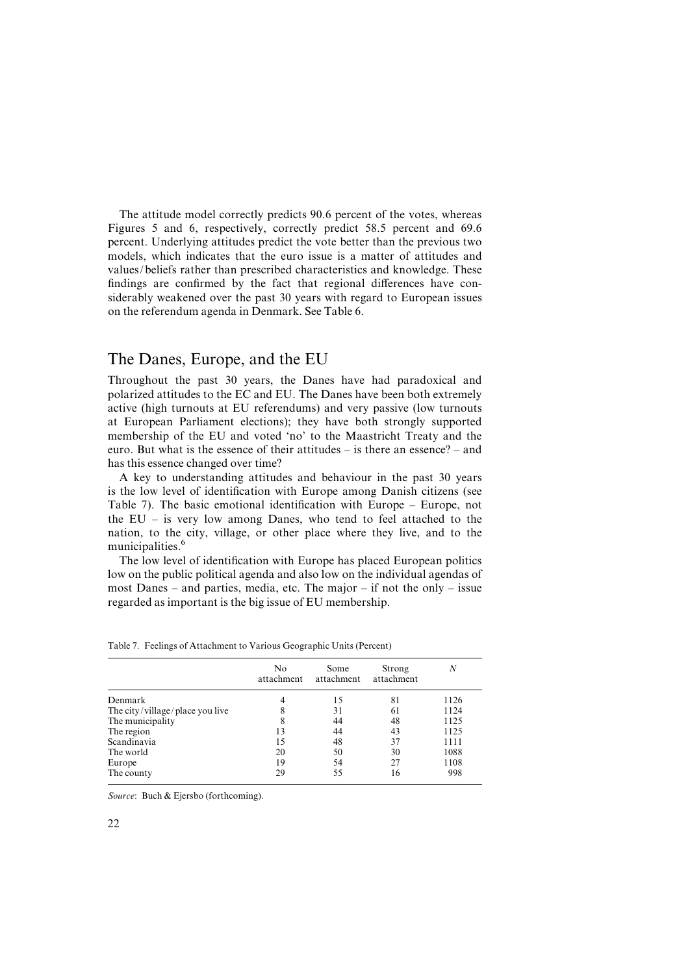The attitude model correctly predicts 90.6 percent of the votes, whereas Figures 5 and 6, respectively, correctly predict 58.5 percent and 69.6 percent. Underlying attitudes predict the vote better than the previous two models, which indicates that the euro issue is a matter of attitudes and values/beliefs rather than prescribed characteristics and knowledge. These findings are confirmed by the fact that regional differences have considerably weakened over the past 30 years with regard to European issues on the referendum agenda in Denmark. See Table 6.

### The Danes, Europe, and the EU

Throughout the past 30 years, the Danes have had paradoxical and polarized attitudes to the EC and EU. The Danes have been both extremely active (high turnouts at EU referendums) and very passive (low turnouts at European Parliament elections); they have both strongly supported membership of the EU and voted `no' to the Maastricht Treaty and the euro. But what is the essence of their attitudes  $-$  is there an essence?  $-$  and has this essence changed over time?

A key to understanding attitudes and behaviour in the past 30 years is the low level of identification with Europe among Danish citizens (see Table 7). The basic emotional identification with Europe  $-$  Europe, not the  $EU -$  is very low among Danes, who tend to feel attached to the nation, to the city, village, or other place where they live, and to the municipalities. 6

The low level of identification with Europe has placed European politics low on the public political agenda and also low on the individual agendas of most Danes  $-$  and parties, media, etc. The major  $-$  if not the only  $-$  issue regarded as important is the big issue of EU membership.

|                                 | No<br>attachment | Some<br>attachment | Strong<br>attachment | N    |
|---------------------------------|------------------|--------------------|----------------------|------|
| Denmark                         | 4                | 15                 | 81                   | 1126 |
| The city/village/place you live | 8                | 31                 | 61                   | 1124 |
| The municipality                | 8                | 44                 | 48                   | 1125 |
| The region                      | 13               | 44                 | 43                   | 1125 |
| Scandinavia                     | 15               | 48                 | 37                   | 1111 |
| The world                       | 20               | 50                 | 30                   | 1088 |
| Europe                          | 19               | 54                 | 27                   | 1108 |
| The county                      | 29               | 55                 | 16                   | 998  |

Table 7. Feelings of Attachment to Various Geographic Units (Percent)

Source: Buch & Ejersbo (forthcoming).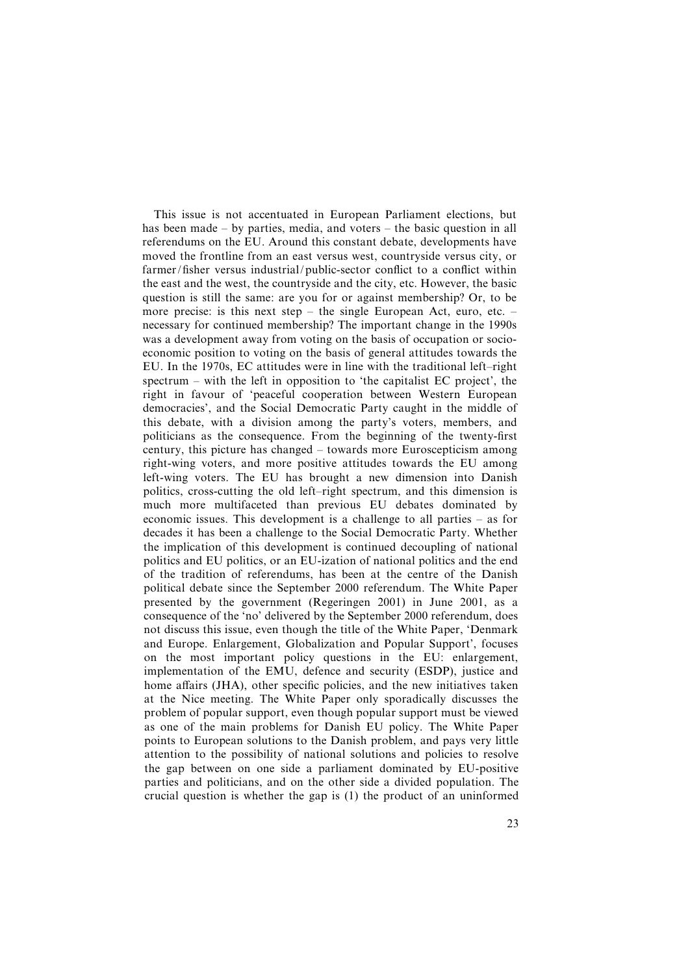This issue is not accentuated in European Parliament elections, but has been made  $-$  by parties, media, and voters  $-$  the basic question in all referendums on the EU. Around this constant debate, developments have moved the frontline from an east versus west, countryside versus city, or farmer/fisher versus industrial/public-sector conflict to a conflict within the east and the west, the countryside and the city, etc. However, the basic question is still the same: are you for or against membership? Or, to be more precise: is this next step  $-$  the single European Act, euro, etc.  $$ necessary for continued membership? The important change in the 1990s was a development away from voting on the basis of occupation or socioeconomic position to voting on the basis of general attitudes towards the EU. In the 1970s, EC attitudes were in line with the traditional left^right spectrum  $-$  with the left in opposition to 'the capitalist EC project', the right in favour of `peaceful cooperation between Western European democracies', and the Social Democratic Party caught in the middle of this debate, with a division among the party's voters, members, and politicians as the consequence. From the beginning of the twenty-first century, this picture has changed ^ towards more Euroscepticism among right-wing voters, and more positive attitudes towards the EU among left-wing voters. The EU has brought a new dimension into Danish politics, cross-cutting the old left-right spectrum, and this dimension is much more multifaceted than previous EU debates dominated by economic issues. This development is a challenge to all parties  $-$  as for decades it has been a challenge to the Social Democratic Party. Whether the implication of this development is continued decoupling of national politics and EU politics, or an EU-ization of national politics and the end of the tradition of referendums, has been at the centre of the Danish political debate since the September 2000 referendum. The White Paper presented by the government (Regeringen 2001) in June 2001, as a consequence of the `no' delivered by the September 2000 referendum, does not discuss this issue, even though the title of the White Paper, `Denmark and Europe. Enlargement, Globalization and Popular Support', focuses on the most important policy questions in the EU: enlargement, implementation of the EMU, defence and security (ESDP), justice and home affairs (JHA), other specific policies, and the new initiatives taken at the Nice meeting. The White Paper only sporadically discusses the problem of popular support, even though popular support must be viewed as one of the main problems for Danish EU policy. The White Paper points to European solutions to the Danish problem, and pays very little attention to the possibility of national solutions and policies to resolve the gap between on one side a parliament dominated by EU-positive parties and politicians, and on the other side a divided population. The crucial question is whether the gap is (1) the product of an uninformed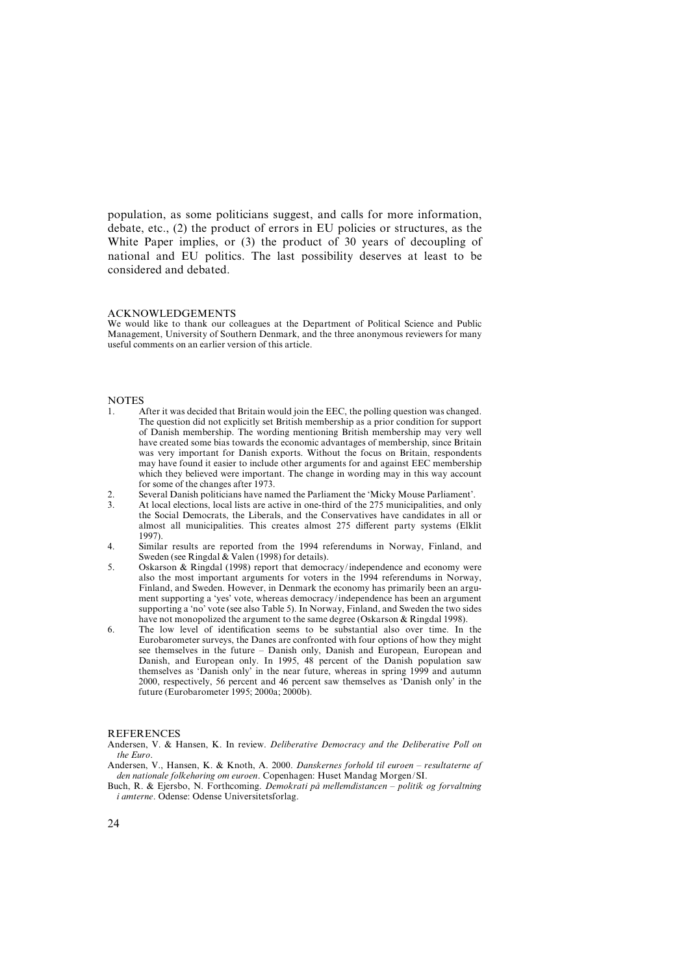population, as some politicians suggest, and calls for more information, debate, etc., (2) the product of errors in EU policies or structures, as the White Paper implies, or (3) the product of 30 years of decoupling of national and EU politics. The last possibility deserves at least to be considered and debated.

### ACKNOWLEDGEMENTS

We would like to thank our colleagues at the Department of Political Science and Public Management, University of Southern Denmark, and the three anonymous reviewers for many useful comments on an earlier version of this article.

#### **NOTES**

- 1. After it was decided that Britain would join the EEC, the polling question was changed. The question did not explicitly set British membership as a prior condition for support of Danish membership. The wording mentioning British membership may very well have created some bias towards the economic advantages of membership, since Britain was very important for Danish exports. Without the focus on Britain, respondents may have found it easier to include other arguments for and against EEC membership which they believed were important. The change in wording may in this way account for some of the changes after 1973.
- 2. Several Danish politicians have named the Parliament the 'Micky Mouse Parliament'.<br>At local elections, local lists are active in one-third of the 275 municipalities, and only
- At local elections, local lists are active in one-third of the 275 municipalities, and only the Social Democrats, the Liberals, and the Conservatives have candidates in all or almost all municipalities. This creates almost 275 different party systems (Elklit 1997).
- 4. Similar results are reported from the 1994 referendums in Norway, Finland, and Sweden (see Ringdal  $\&$  Valen (1998) for details).
- 5. Oskarson & Ringdal (1998) report that democracy/independence and economy were also the most important arguments for voters in the 1994 referendums in Norway, Finland, and Sweden. However, in Denmark the economy has primarily been an argument supporting a 'yes' vote, whereas democracy/independence has been an argument supporting a 'no' vote (see also Table 5). In Norway, Finland, and Sweden the two sides have not monopolized the argument to the same degree (Oskarson & Ringdal 1998).
- 6. The low level of identification seems to be substantial also over time. In the Eurobarometer surveys, the Danes are confronted with four options of how they might see themselves in the future - Danish only, Danish and European, European and Danish, and European only. In 1995, 48 percent of the Danish population saw themselves as `Danish only' in the near future, whereas in spring 1999 and autumn 2000, respectively, 56 percent and 46 percent saw themselves as `Danish only' in the future (Eurobarometer 1995; 2000a; 2000b).

#### **REFERENCES**

- Andersen, V. & Hansen, K. In review. Deliberative Democracy and the Deliberative Poll on the Euro.
- Andersen, V., Hansen, K. & Knoth, A. 2000. Danskernes forhold til euroen resultaterne af den nationale folkehøring om euroen. Copenhagen: Huset Mandag Morgen/SI.
- Buch, R. & Ejersbo, N. Forthcoming. Demokrati på mellemdistancen politik og forvaltning i amterne. Odense: Odense Universitetsforlag.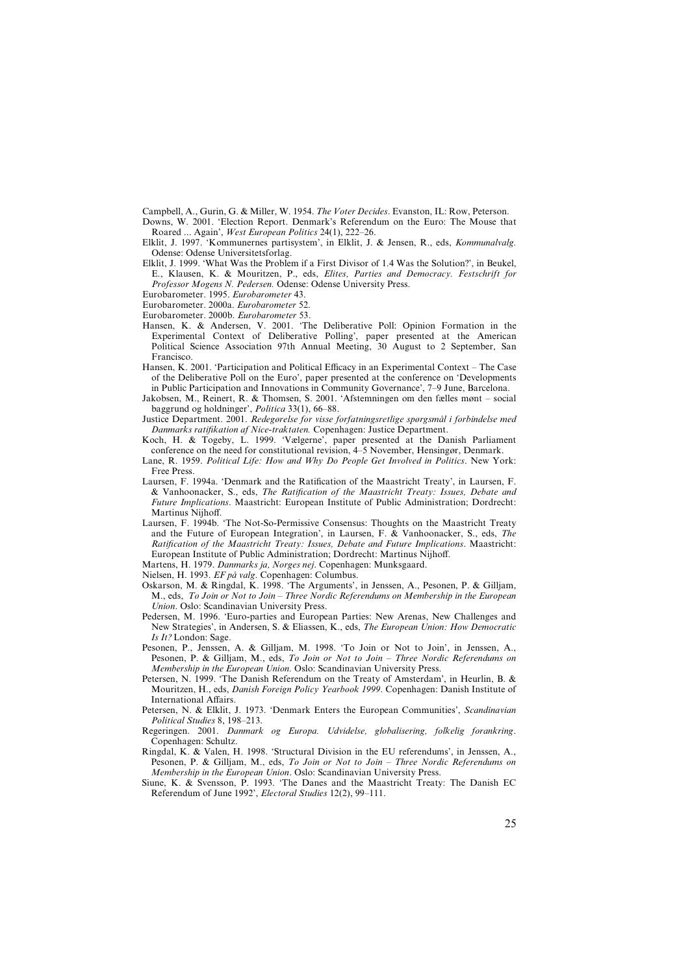Campbell, A., Gurin, G. & Miller, W. 1954. The Voter Decides. Evanston, IL: Row, Peterson. Downs, W. 2001. `Election Report. Denmark's Referendum on the Euro: The Mouse that

Roared ... Again', West European Politics 24(1), 222-26.

Elklit, J. 1997. `Kommunernes partisystem', in Elklit, J. & Jensen, R., eds, Kommunalvalg. Odense: Odense Universitetsforlag.

- Elklit, J. 1999. `What Was the Problem if a First Divisor of 1.4 Was the Solution?', in Beukel, E., Klausen, K. & Mouritzen, P., eds, Elites, Parties and Democracy. Festschrift for Professor Mogens N. Pedersen. Odense: Odense University Press.
- Eurobarometer. 1995. Eurobarometer 43.
- Eurobarometer. 2000a. Eurobarometer 52.

Eurobarometer. 2000b. Eurobarometer 53.

- Hansen, K. & Andersen, V. 2001. `The Deliberative Poll: Opinion Formation in the Experimental Context of Deliberative Polling', paper presented at the American Political Science Association 97th Annual Meeting, 30 August to 2 September, San Francisco.
- Hansen, K. 2001. 'Participation and Political Efficacy in an Experimental Context The Case of the Deliberative Poll on the Euro', paper presented at the conference on `Developments in Public Participation and Innovations in Community Governance', 7^9 June, Barcelona.
- Jakobsen, M., Reinert, R. & Thomsen, S. 2001. 'Afstemningen om den fælles mønt social baggrund og holdninger', Politica 33(1), 66-88.

Justice Department. 2001. Redegørelse for visse forfatningsretlige spørgsmål i forbindelse med Danmarks ratifikation af Nice-traktaten. Copenhagen: Justice Department.

- Koch, H. & Togeby, L. 1999. 'Vælgerne', paper presented at the Danish Parliament conference on the need for constitutional revision, 4-5 November, Hensingør, Denmark.
- Lane, R. 1959. Political Life: How and Why Do People Get Involved in Politics. New York: Free Press.
- Laursen, F. 1994a. 'Denmark and the Ratification of the Maastricht Treaty', in Laursen, F. & Vanhoonacker, S., eds, The Ratification of the Maastricht Treaty: Issues, Debate and Future Implications. Maastricht: European Institute of Public Administration; Dordrecht: Martinus Nijhoff.
- Laursen, F. 1994b. `The Not-So-Permissive Consensus: Thoughts on the Maastricht Treaty and the Future of European Integration', in Laursen, F. & Vanhoonacker, S., eds, The Ratification of the Maastricht Treaty: Issues, Debate and Future Implications. Maastricht: European Institute of Public Administration; Dordrecht: Martinus Nijhoff.

Martens, H. 1979. Danmarks ja, Norges nej. Copenhagen: Munksgaard.

Nielsen, H. 1993. EF på valg. Copenhagen: Columbus.

- Oskarson, M. & Ringdal, K. 1998. `The Arguments', in Jenssen, A., Pesonen, P. & Gilljam, M., eds, To Join or Not to Join - Three Nordic Referendums on Membership in the European Union. Oslo: Scandinavian University Press.
- Pedersen, M. 1996. 'Euro-parties and European Parties: New Arenas, New Challenges and New Strategies', in Andersen, S. & Eliassen, K., eds, The European Union: How Democratic Is It? London: Sage.
- Pesonen, P., Jenssen, A. & Gilljam, M. 1998. `To Join or Not to Join', in Jenssen, A., Pesonen, P. & Gilljam, M., eds, To Join or Not to Join - Three Nordic Referendums on Membership in the European Union. Oslo: Scandinavian University Press.
- Petersen, N. 1999. 'The Danish Referendum on the Treaty of Amsterdam', in Heurlin, B. & Mouritzen, H., eds, Danish Foreign Policy Yearbook 1999. Copenhagen: Danish Institute of International Affairs.

Petersen, N. & Elklit, J. 1973. 'Denmark Enters the European Communities', Scandinavian Political Studies 8, 198-213.

- Regeringen. 2001. Danmark og Europa. Udvidelse, globalisering, folkelig forankring. Copenhagen: Schultz.
- Ringdal, K. & Valen, H. 1998. `Structural Division in the EU referendums', in Jenssen, A., Pesonen, P. & Gilljam, M., eds, To Join or Not to Join - Three Nordic Referendums on Membership in the European Union. Oslo: Scandinavian University Press.
- Siune, K. & Svensson, P. 1993. 'The Danes and the Maastricht Treaty: The Danish EC Referendum of June 1992', Electoral Studies 12(2), 99-111.